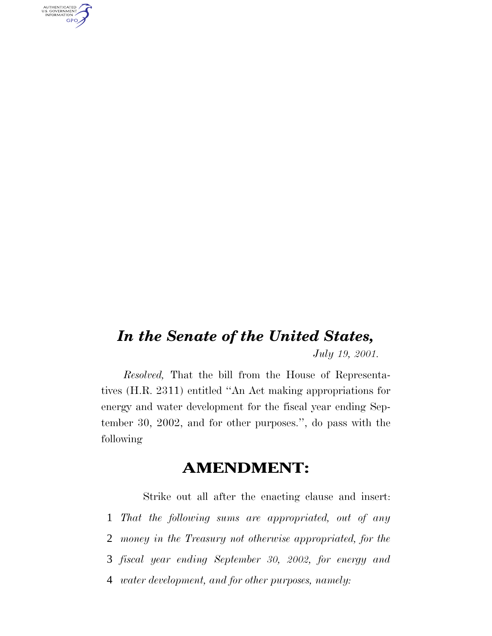AUTHENTICATED<br>U.S. GOVERNMENT<br>INFORMATION GPO

## *In the Senate of the United States, July 19, 2001.*

*Resolved,* That the bill from the House of Representatives (H.R. 2311) entitled ''An Act making appropriations for energy and water development for the fiscal year ending September 30, 2002, and for other purposes.'', do pass with the following

## **AMENDMENT:**

Strike out all after the enacting clause and insert: *That the following sums are appropriated, out of any money in the Treasury not otherwise appropriated, for the fiscal year ending September 30, 2002, for energy and water development, and for other purposes, namely:*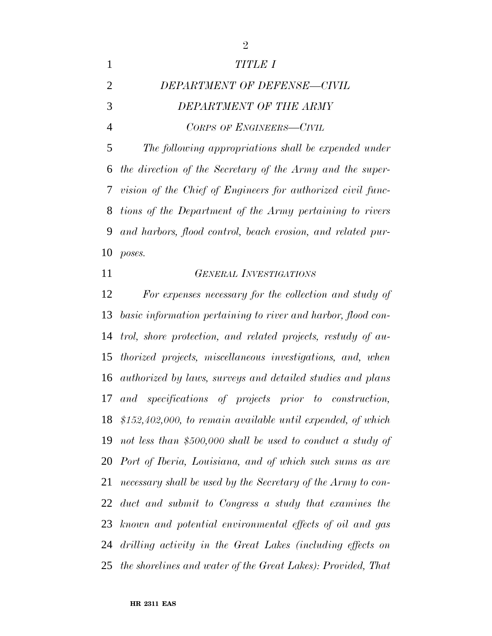|                | TITLE I                                                       |
|----------------|---------------------------------------------------------------|
| $\overline{2}$ | DEPARTMENT OF DEFENSE-CIVIL                                   |
| 3              | DEPARTMENT OF THE ARMY                                        |
| 4              | CORPS OF ENGINEERS-CIVIL                                      |
| 5              | The following appropriations shall be expended under          |
|                | 6 the direction of the Secretary of the Army and the super-   |
|                | 7 vision of the Chief of Engineers for authorized civil func- |
|                | 8 tions of the Department of the Army pertaining to rivers    |
| 9              | and harbors, flood control, beach erosion, and related pur-   |
| 10             | poses.                                                        |

*GENERAL INVESTIGATIONS*

 *For expenses necessary for the collection and study of basic information pertaining to river and harbor, flood con- trol, shore protection, and related projects, restudy of au- thorized projects, miscellaneous investigations, and, when authorized by laws, surveys and detailed studies and plans and specifications of projects prior to construction, \$152,402,000, to remain available until expended, of which not less than \$500,000 shall be used to conduct a study of Port of Iberia, Louisiana, and of which such sums as are necessary shall be used by the Secretary of the Army to con- duct and submit to Congress a study that examines the known and potential environmental effects of oil and gas drilling activity in the Great Lakes (including effects on the shorelines and water of the Great Lakes): Provided, That*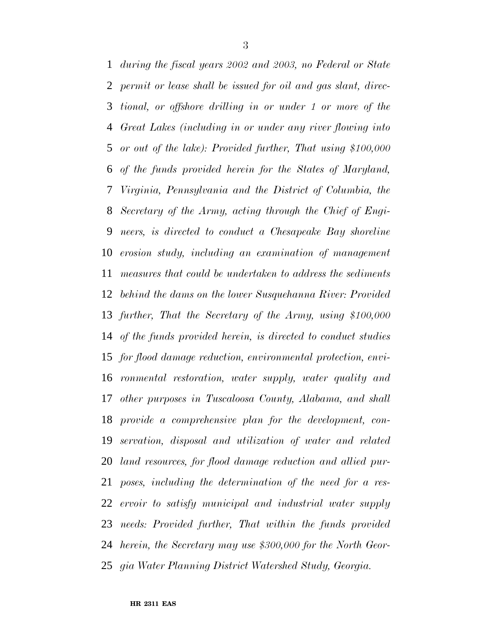*during the fiscal years 2002 and 2003, no Federal or State permit or lease shall be issued for oil and gas slant, direc- tional, or offshore drilling in or under 1 or more of the Great Lakes (including in or under any river flowing into or out of the lake): Provided further, That using \$100,000 of the funds provided herein for the States of Maryland, Virginia, Pennsylvania and the District of Columbia, the Secretary of the Army, acting through the Chief of Engi- neers, is directed to conduct a Chesapeake Bay shoreline erosion study, including an examination of management measures that could be undertaken to address the sediments behind the dams on the lower Susquehanna River: Provided further, That the Secretary of the Army, using \$100,000 of the funds provided herein, is directed to conduct studies for flood damage reduction, environmental protection, envi- ronmental restoration, water supply, water quality and other purposes in Tuscaloosa County, Alabama, and shall provide a comprehensive plan for the development, con- servation, disposal and utilization of water and related land resources, for flood damage reduction and allied pur- poses, including the determination of the need for a res- ervoir to satisfy municipal and industrial water supply needs: Provided further, That within the funds provided herein, the Secretary may use \$300,000 for the North Geor-gia Water Planning District Watershed Study, Georgia.*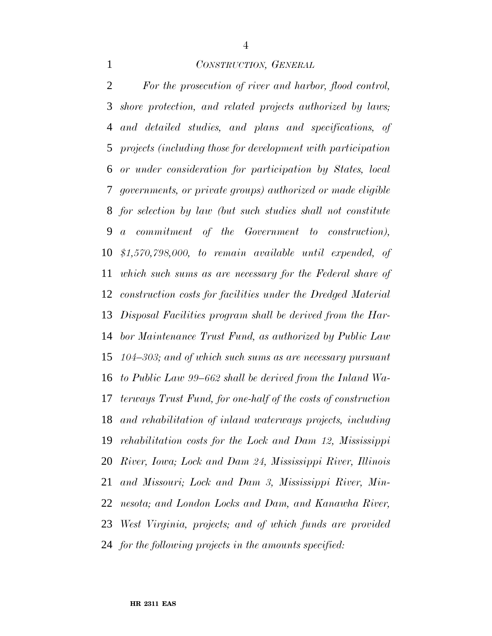#### *CONSTRUCTION, GENERAL*

 *For the prosecution of river and harbor, flood control, shore protection, and related projects authorized by laws; and detailed studies, and plans and specifications, of projects (including those for development with participation or under consideration for participation by States, local governments, or private groups) authorized or made eligible for selection by law (but such studies shall not constitute a commitment of the Government to construction), \$1,570,798,000, to remain available until expended, of which such sums as are necessary for the Federal share of construction costs for facilities under the Dredged Material Disposal Facilities program shall be derived from the Har- bor Maintenance Trust Fund, as authorized by Public Law 104–303; and of which such sums as are necessary pursuant to Public Law 99–662 shall be derived from the Inland Wa- terways Trust Fund, for one-half of the costs of construction and rehabilitation of inland waterways projects, including rehabilitation costs for the Lock and Dam 12, Mississippi River, Iowa; Lock and Dam 24, Mississippi River, Illinois and Missouri; Lock and Dam 3, Mississippi River, Min- nesota; and London Locks and Dam, and Kanawha River, West Virginia, projects; and of which funds are provided for the following projects in the amounts specified:*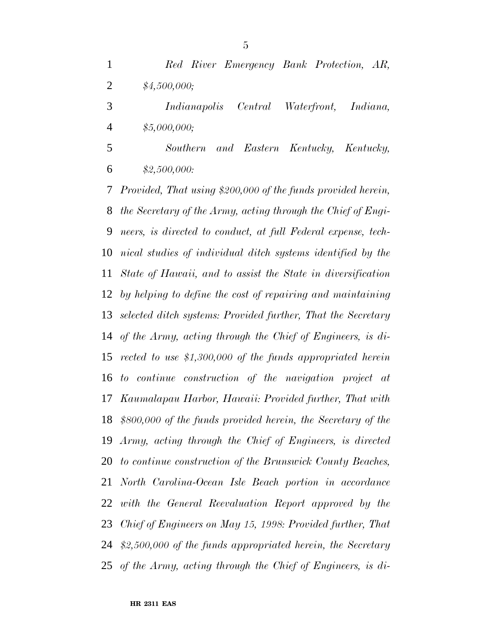*Red River Emergency Bank Protection, AR, \$4,500,000;*

 *Indianapolis Central Waterfront, Indiana, \$5,000,000;*

 *Southern and Eastern Kentucky, Kentucky, \$2,500,000:*

 *Provided, That using \$200,000 of the funds provided herein, the Secretary of the Army, acting through the Chief of Engi- neers, is directed to conduct, at full Federal expense, tech- nical studies of individual ditch systems identified by the State of Hawaii, and to assist the State in diversification by helping to define the cost of repairing and maintaining selected ditch systems: Provided further, That the Secretary of the Army, acting through the Chief of Engineers, is di- rected to use \$1,300,000 of the funds appropriated herein to continue construction of the navigation project at Kaumalapau Harbor, Hawaii: Provided further, That with \$800,000 of the funds provided herein, the Secretary of the Army, acting through the Chief of Engineers, is directed to continue construction of the Brunswick County Beaches, North Carolina-Ocean Isle Beach portion in accordance with the General Reevaluation Report approved by the Chief of Engineers on May 15, 1998: Provided further, That \$2,500,000 of the funds appropriated herein, the Secretary of the Army, acting through the Chief of Engineers, is di-*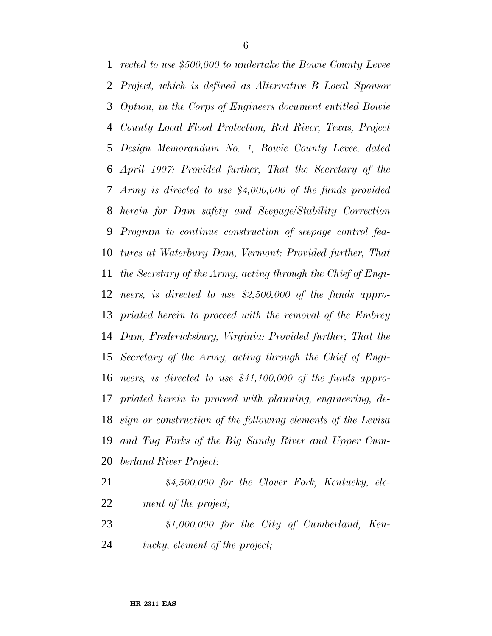*rected to use \$500,000 to undertake the Bowie County Levee Project, which is defined as Alternative B Local Sponsor Option, in the Corps of Engineers document entitled Bowie County Local Flood Protection, Red River, Texas, Project Design Memorandum No. 1, Bowie County Levee, dated April 1997: Provided further, That the Secretary of the Army is directed to use \$4,000,000 of the funds provided herein for Dam safety and Seepage/Stability Correction Program to continue construction of seepage control fea- tures at Waterbury Dam, Vermont: Provided further, That the Secretary of the Army, acting through the Chief of Engi- neers, is directed to use \$2,500,000 of the funds appro- priated herein to proceed with the removal of the Embrey Dam, Fredericksburg, Virginia: Provided further, That the Secretary of the Army, acting through the Chief of Engi- neers, is directed to use \$41,100,000 of the funds appro- priated herein to proceed with planning, engineering, de- sign or construction of the following elements of the Levisa and Tug Forks of the Big Sandy River and Upper Cum-berland River Project:*

- *\$4,500,000 for the Clover Fork, Kentucky, ele-ment of the project;*
- *\$1,000,000 for the City of Cumberland, Ken-tucky, element of the project;*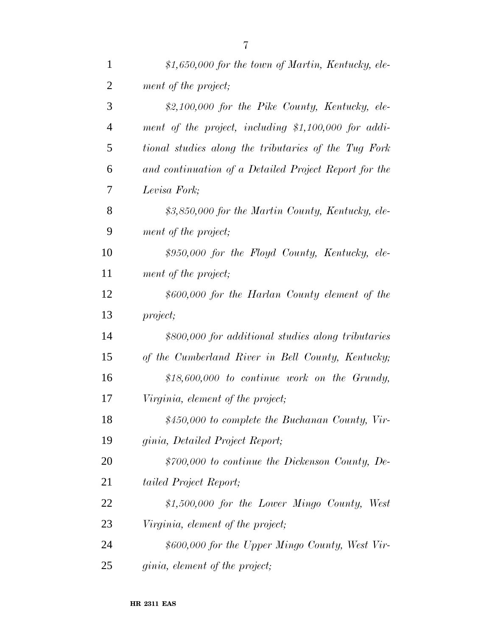| $\mathbf{1}$   | $$1,650,000$ for the town of Martin, Kentucky, ele-   |
|----------------|-------------------------------------------------------|
| $\overline{2}$ | ment of the project;                                  |
| 3              | $$2,100,000$ for the Pike County, Kentucky, ele-      |
| $\overline{4}$ | ment of the project, including \$1,100,000 for addi-  |
| 5              | tional studies along the tributaries of the Tug Fork  |
| 6              | and continuation of a Detailed Project Report for the |
| 7              | Levisa Fork;                                          |
| 8              | \$3,850,000 for the Martin County, Kentucky, ele-     |
| 9              | ment of the project;                                  |
| 10             | \$950,000 for the Floyd County, Kentucky, ele-        |
| 11             | ment of the project;                                  |
| 12             | \$600,000 for the Harlan County element of the        |
| 13             | project;                                              |
| 14             | \$800,000 for additional studies along tributaries    |
| 15             | of the Cumberland River in Bell County, Kentucky;     |
| 16             | $$18,600,000$ to continue work on the Grundy,         |
| 17             | Virginia, element of the project;                     |
| 18             | $$450,000$ to complete the Buchanan County, Vir-      |
| 19             | ginia, Detailed Project Report;                       |
| 20             | $$700,000$ to continue the Dickenson County, De-      |
| 21             | tailed Project Report;                                |
| 22             | $$1,500,000$ for the Lower Mingo County, West         |
| 23             | Virginia, element of the project;                     |
| 24             | \$600,000 for the Upper Mingo County, West Vir-       |
| 25             | <i>ginia, element of the project;</i>                 |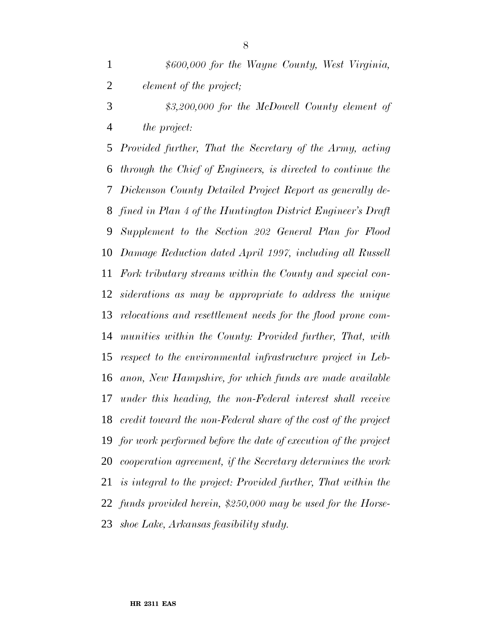*\$600,000 for the Wayne County, West Virginia, element of the project; \$3,200,000 for the McDowell County element of*

*the project:*

 *Provided further, That the Secretary of the Army, acting through the Chief of Engineers, is directed to continue the Dickenson County Detailed Project Report as generally de- fined in Plan 4 of the Huntington District Engineer's Draft Supplement to the Section 202 General Plan for Flood Damage Reduction dated April 1997, including all Russell Fork tributary streams within the County and special con- siderations as may be appropriate to address the unique relocations and resettlement needs for the flood prone com- munities within the County: Provided further, That, with respect to the environmental infrastructure project in Leb- anon, New Hampshire, for which funds are made available under this heading, the non-Federal interest shall receive credit toward the non-Federal share of the cost of the project for work performed before the date of execution of the project cooperation agreement, if the Secretary determines the work is integral to the project: Provided further, That within the funds provided herein, \$250,000 may be used for the Horse-shoe Lake, Arkansas feasibility study.*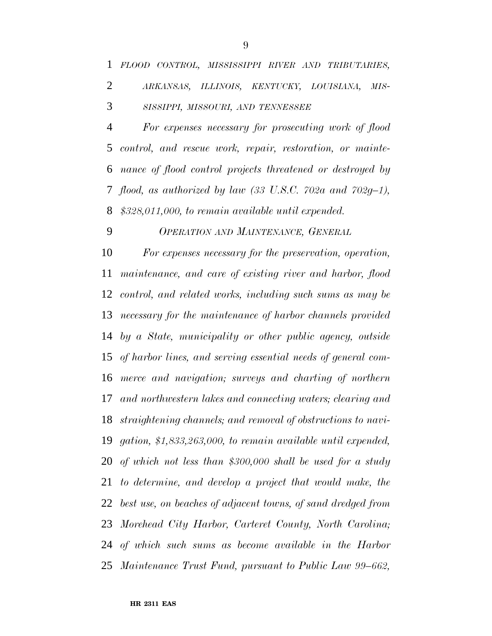*For expenses necessary for prosecuting work of flood control, and rescue work, repair, restoration, or mainte- nance of flood control projects threatened or destroyed by flood, as authorized by law (33 U.S.C. 702a and 702g–1), \$328,011,000, to remain available until expended.*

*OPERATION AND MAINTENANCE, GENERAL*

 *For expenses necessary for the preservation, operation, maintenance, and care of existing river and harbor, flood control, and related works, including such sums as may be necessary for the maintenance of harbor channels provided by a State, municipality or other public agency, outside of harbor lines, and serving essential needs of general com- merce and navigation; surveys and charting of northern and northwestern lakes and connecting waters; clearing and straightening channels; and removal of obstructions to navi- gation, \$1,833,263,000, to remain available until expended, of which not less than \$300,000 shall be used for a study to determine, and develop a project that would make, the best use, on beaches of adjacent towns, of sand dredged from Morehead City Harbor, Carteret County, North Carolina; of which such sums as become available in the Harbor Maintenance Trust Fund, pursuant to Public Law 99–662,*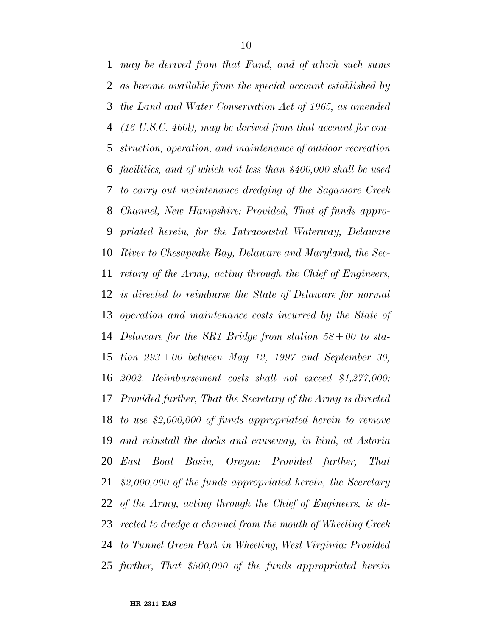*may be derived from that Fund, and of which such sums as become available from the special account established by the Land and Water Conservation Act of 1965, as amended (16 U.S.C. 460l), may be derived from that account for con- struction, operation, and maintenance of outdoor recreation facilities, and of which not less than \$400,000 shall be used to carry out maintenance dredging of the Sagamore Creek Channel, New Hampshire: Provided, That of funds appro- priated herein, for the Intracoastal Waterway, Delaware River to Chesapeake Bay, Delaware and Maryland, the Sec- retary of the Army, acting through the Chief of Engineers, is directed to reimburse the State of Delaware for normal operation and maintenance costs incurred by the State of Delaware for the SR1 Bridge from station 58*∂*00 to sta- tion 293*∂*00 between May 12, 1997 and September 30, 2002. Reimbursement costs shall not exceed \$1,277,000: Provided further, That the Secretary of the Army is directed to use \$2,000,000 of funds appropriated herein to remove and reinstall the docks and causeway, in kind, at Astoria East Boat Basin, Oregon: Provided further, That \$2,000,000 of the funds appropriated herein, the Secretary of the Army, acting through the Chief of Engineers, is di- rected to dredge a channel from the mouth of Wheeling Creek to Tunnel Green Park in Wheeling, West Virginia: Provided further, That \$500,000 of the funds appropriated herein*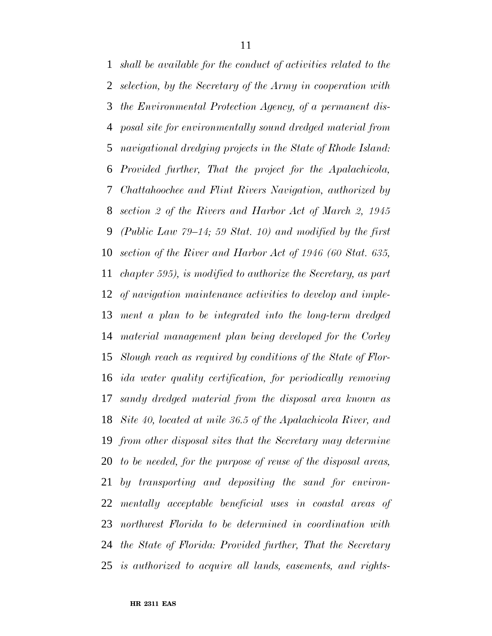*shall be available for the conduct of activities related to the selection, by the Secretary of the Army in cooperation with the Environmental Protection Agency, of a permanent dis- posal site for environmentally sound dredged material from navigational dredging projects in the State of Rhode Island: Provided further, That the project for the Apalachicola, Chattahoochee and Flint Rivers Navigation, authorized by section 2 of the Rivers and Harbor Act of March 2, 1945 (Public Law 79–14; 59 Stat. 10) and modified by the first section of the River and Harbor Act of 1946 (60 Stat. 635, chapter 595), is modified to authorize the Secretary, as part of navigation maintenance activities to develop and imple- ment a plan to be integrated into the long-term dredged material management plan being developed for the Corley Slough reach as required by conditions of the State of Flor- ida water quality certification, for periodically removing sandy dredged material from the disposal area known as Site 40, located at mile 36.5 of the Apalachicola River, and from other disposal sites that the Secretary may determine to be needed, for the purpose of reuse of the disposal areas, by transporting and depositing the sand for environ- mentally acceptable beneficial uses in coastal areas of northwest Florida to be determined in coordination with the State of Florida: Provided further, That the Secretary is authorized to acquire all lands, easements, and rights-*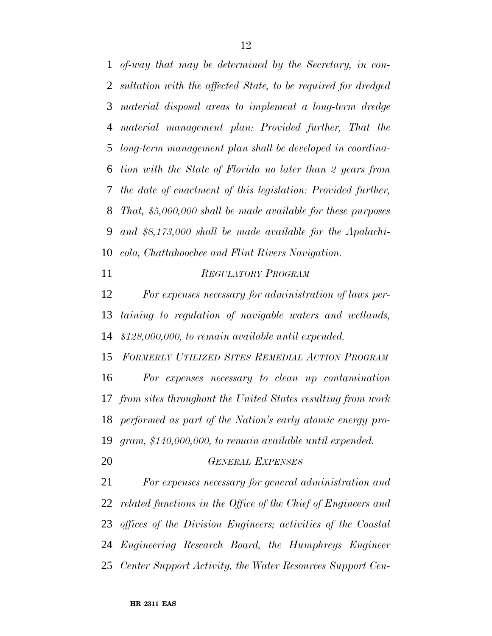*of-way that may be determined by the Secretary, in con- sultation with the affected State, to be required for dredged material disposal areas to implement a long-term dredge material management plan: Provided further, That the long-term management plan shall be developed in coordina- tion with the State of Florida no later than 2 years from the date of enactment of this legislation: Provided further, That, \$5,000,000 shall be made available for these purposes and \$8,173,000 shall be made available for the Apalachi-cola, Chattahoochee and Flint Rivers Navigation.*

*REGULATORY PROGRAM*

 *For expenses necessary for administration of laws per- taining to regulation of navigable waters and wetlands, \$128,000,000, to remain available until expended.*

 *FORMERLY UTILIZED SITES REMEDIAL ACTION PROGRAM For expenses necessary to clean up contamination from sites throughout the United States resulting from work performed as part of the Nation's early atomic energy pro-gram, \$140,000,000, to remain available until expended.*

*GENERAL EXPENSES*

 *For expenses necessary for general administration and related functions in the Office of the Chief of Engineers and offices of the Division Engineers; activities of the Coastal Engineering Research Board, the Humphreys Engineer Center Support Activity, the Water Resources Support Cen-*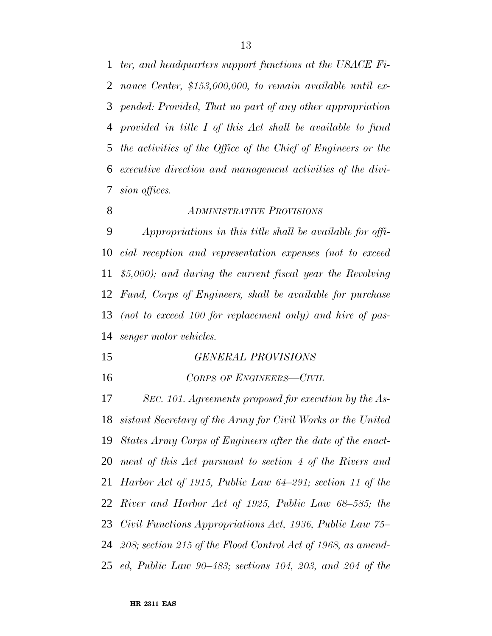*ter, and headquarters support functions at the USACE Fi- nance Center, \$153,000,000, to remain available until ex- pended: Provided, That no part of any other appropriation provided in title I of this Act shall be available to fund the activities of the Office of the Chief of Engineers or the executive direction and management activities of the divi-sion offices.*

#### *ADMINISTRATIVE PROVISIONS*

 *Appropriations in this title shall be available for offi- cial reception and representation expenses (not to exceed \$5,000); and during the current fiscal year the Revolving Fund, Corps of Engineers, shall be available for purchase (not to exceed 100 for replacement only) and hire of pas-senger motor vehicles.*

- *GENERAL PROVISIONS*
- *CORPS OF ENGINEERS—CIVIL*

 *SEC. 101. Agreements proposed for execution by the As- sistant Secretary of the Army for Civil Works or the United States Army Corps of Engineers after the date of the enact- ment of this Act pursuant to section 4 of the Rivers and Harbor Act of 1915, Public Law 64–291; section 11 of the River and Harbor Act of 1925, Public Law 68–585; the Civil Functions Appropriations Act, 1936, Public Law 75– 208; section 215 of the Flood Control Act of 1968, as amend-ed, Public Law 90–483; sections 104, 203, and 204 of the*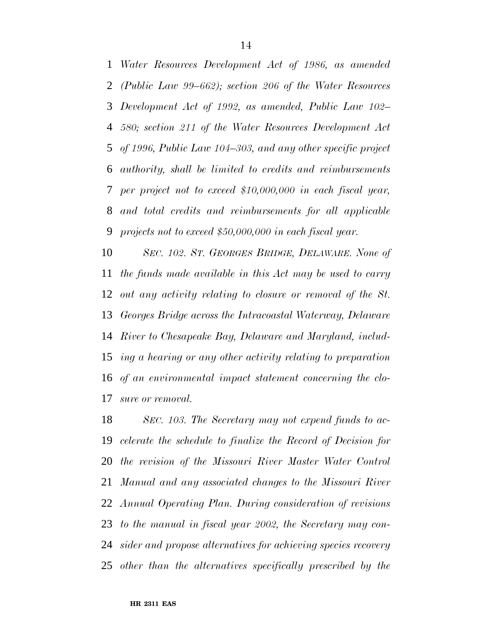*Water Resources Development Act of 1986, as amended (Public Law 99–662); section 206 of the Water Resources Development Act of 1992, as amended, Public Law 102– 580; section 211 of the Water Resources Development Act of 1996, Public Law 104–303, and any other specific project authority, shall be limited to credits and reimbursements per project not to exceed \$10,000,000 in each fiscal year, and total credits and reimbursements for all applicable projects not to exceed \$50,000,000 in each fiscal year.*

 *SEC. 102. ST. GEORGES BRIDGE, DELAWARE. None of the funds made available in this Act may be used to carry out any activity relating to closure or removal of the St. Georges Bridge across the Intracoastal Waterway, Delaware River to Chesapeake Bay, Delaware and Maryland, includ- ing a hearing or any other activity relating to preparation of an environmental impact statement concerning the clo-sure or removal.*

 *SEC. 103. The Secretary may not expend funds to ac- celerate the schedule to finalize the Record of Decision for the revision of the Missouri River Master Water Control Manual and any associated changes to the Missouri River Annual Operating Plan. During consideration of revisions to the manual in fiscal year 2002, the Secretary may con- sider and propose alternatives for achieving species recovery other than the alternatives specifically prescribed by the*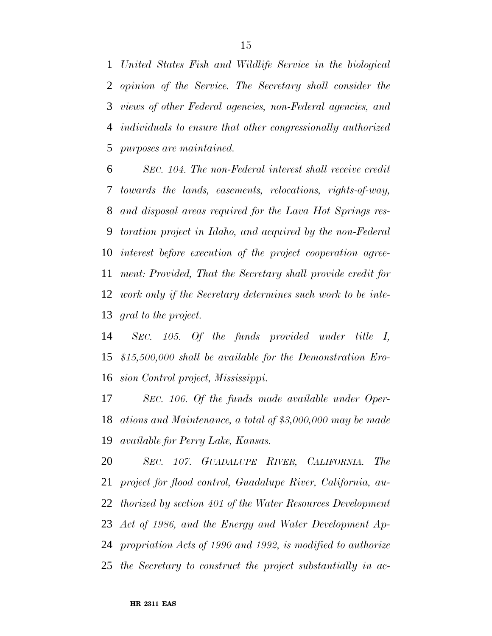*United States Fish and Wildlife Service in the biological opinion of the Service. The Secretary shall consider the views of other Federal agencies, non-Federal agencies, and individuals to ensure that other congressionally authorized purposes are maintained.*

 *SEC. 104. The non-Federal interest shall receive credit towards the lands, easements, relocations, rights-of-way, and disposal areas required for the Lava Hot Springs res- toration project in Idaho, and acquired by the non-Federal interest before execution of the project cooperation agree- ment: Provided, That the Secretary shall provide credit for work only if the Secretary determines such work to be inte-gral to the project.*

 *SEC. 105. Of the funds provided under title I, \$15,500,000 shall be available for the Demonstration Ero-sion Control project, Mississippi.*

 *SEC. 106. Of the funds made available under Oper- ations and Maintenance, a total of \$3,000,000 may be made available for Perry Lake, Kansas.*

 *SEC. 107. GUADALUPE RIVER, CALIFORNIA. The project for flood control, Guadalupe River, California, au- thorized by section 401 of the Water Resources Development Act of 1986, and the Energy and Water Development Ap- propriation Acts of 1990 and 1992, is modified to authorize the Secretary to construct the project substantially in ac-*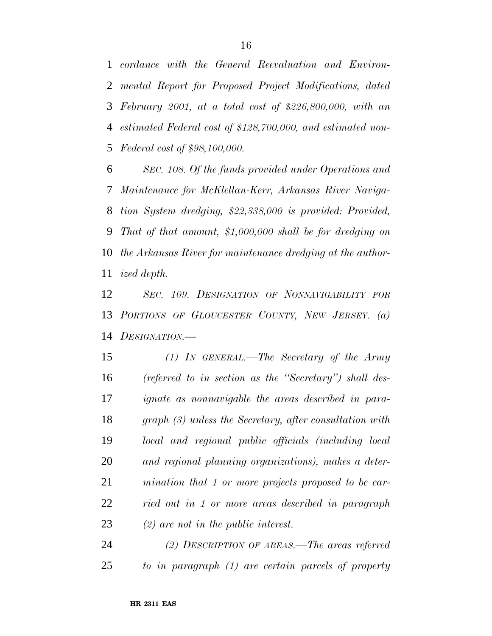*cordance with the General Reevaluation and Environ- mental Report for Proposed Project Modifications, dated February 2001, at a total cost of \$226,800,000, with an estimated Federal cost of \$128,700,000, and estimated non-Federal cost of \$98,100,000.*

 *SEC. 108. Of the funds provided under Operations and Maintenance for McKlellan-Kerr, Arkansas River Naviga- tion System dredging, \$22,338,000 is provided: Provided, That of that amount, \$1,000,000 shall be for dredging on the Arkansas River for maintenance dredging at the author-ized depth.*

 *SEC. 109. DESIGNATION OF NONNAVIGABILITY FOR PORTIONS OF GLOUCESTER COUNTY, NEW JERSEY. (a) DESIGNATION.—*

 *(1) IN GENERAL.—The Secretary of the Army (referred to in section as the ''Secretary'') shall des- ignate as nonnavigable the areas described in para- graph (3) unless the Secretary, after consultation with local and regional public officials (including local and regional planning organizations), makes a deter- mination that 1 or more projects proposed to be car- ried out in 1 or more areas described in paragraph (2) are not in the public interest.*

 *(2) DESCRIPTION OF AREAS.—The areas referred to in paragraph (1) are certain parcels of property*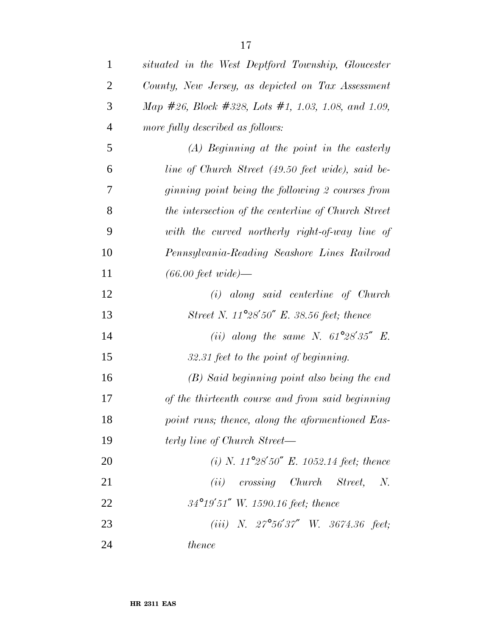| $\mathbf{1}$   | situated in the West Deptford Township, Gloucester  |
|----------------|-----------------------------------------------------|
| $\overline{2}$ | County, New Jersey, as depicted on Tax Assessment   |
| 3              | Map #26, Block #328, Lots #1, 1.03, 1.08, and 1.09, |
| $\overline{4}$ | more fully described as follows:                    |
| 5              | $(A)$ Beginning at the point in the easterly        |
| 6              | line of Church Street (49.50 feet wide), said be-   |
| 7              | ginning point being the following 2 courses from    |
| 8              | the intersection of the centerline of Church Street |
| 9              | with the curved northerly right-of-way line of      |
| 10             | Pennsylvania-Reading Seashore Lines Railroad        |
| 11             | $(66.00 \text{ feet wide})$                         |
| 12             | $(i)$ along said centerline of Church               |
| 13             | Street N. $11^{\circ}28'50''$ E. 38.56 feet; thence |
| 14             | (ii) along the same N. $61^{\circ}28'35''$ E.       |
| 15             | 32.31 feet to the point of beginning.               |
| 16             | (B) Said beginning point also being the end         |
| 17             | of the thirteenth course and from said beginning    |
| 18             | point runs; thence, along the aformentioned Eas-    |
| 19             | terly line of Church Street—                        |
| 20             | (i) N. $11^{\circ}28'50''$ E. 1052.14 feet; thence  |
| 21             | $(ii)$ crossing Church Street, N.                   |
| 22             | $34^{\circ}19'51''$ W. 1590.16 feet; thence         |
| 23             | (iii) N. $27^{\circ}56'37''$ W. $3674.36$ feet;     |
| 24             | <i>thence</i>                                       |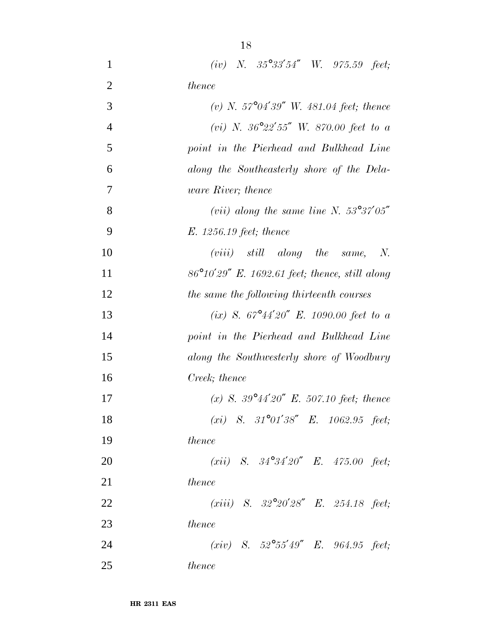| $\mathbf{1}$   | (iv) N. $35^{\circ}33'54''$ W. $975.59$ feet;            |
|----------------|----------------------------------------------------------|
| $\overline{2}$ | thence                                                   |
| 3              | (v) N. $57^{\circ}04'39''$ W. $481.04$ feet; thence      |
| $\overline{4}$ | (vi) N. $36^{\circ}22'55''$ W. 870.00 feet to a          |
| 5              | point in the Pierhead and Bulkhead Line                  |
| 6              | along the Southeasterly shore of the Dela-               |
| 7              | ware River; thence                                       |
| 8              | (vii) along the same line N. $53^{\circ}37'05''$         |
| 9              | E. 1256.19 feet; thence                                  |
| 10             | $(viii)$ still along the same,<br>$N_{\rm \cdot}$        |
| 11             | $86^{\circ}10'29''$ E. 1692.61 feet; thence, still along |
| 12             | the same the following thirteenth courses                |
| 13             | (ix) S. $67^{\circ}44'20''$ E. 1090.00 feet to a         |
| 14             | point in the Pierhead and Bulkhead Line                  |
| 15             | along the Southwesterly shore of Woodbury                |
| 16             | Creek; thence                                            |
| 17             | (x) S. $39^{\circ}44'20''$ E. 507.10 feet; thence        |
| 18             | (xi) S. $31^{\circ}01'38''$ E. $1062.95$ feet;           |
| 19             | thence                                                   |
| 20             | ( <i>xii</i> ) S. $34^{\circ}34'20''$ E. $475.00$ feet;  |
| 21             | thence                                                   |
| 22             | $(xiii)$ S. $32^{\circ}20'28''$ E. 254.18 feet;          |
| 23             | <i>thence</i>                                            |
| 24             | (xiv) S. $52^{\circ}55'49''$ E. $964.95$ feet;           |
| 25             | <i>thence</i>                                            |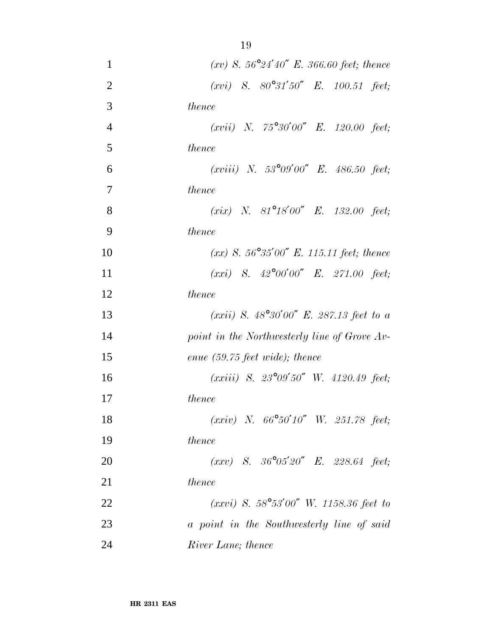| $\mathbf{1}$   | $(xv)$ S. 56°24'40" E. 366.60 feet; thence        |
|----------------|---------------------------------------------------|
| $\overline{2}$ | $(xvi)$ S. $80^{\circ}31'50''$ E. 100.51 feet;    |
| 3              | thence                                            |
| $\overline{4}$ | $(xvii)$ N. 75°30'00" E. 120.00 feet;             |
| 5              | <i>thence</i>                                     |
| 6              | $(xviii)$ N. 53°09'00" E. 486.50 feet;            |
| 7              | <i>thence</i>                                     |
| 8              | ( <i>xix</i> ) N. 81°18'00" E. 132.00 feet;       |
| 9              | thence                                            |
| 10             | $(xx)$ S. 56°35'00" E. 115.11 feet; thence        |
| 11             | $(xxi)$ S. $42^{\circ}00'00''$ E. 271.00 feet;    |
| 12             | thence                                            |
| 13             | (xxii) S. $48^{\circ}30'00''$ E. 287.13 feet to a |
| 14             | point in the Northwesterly line of Grove Av-      |
| 15             | enue $(59.75 \text{ feet wide})$ ; thence         |
| 16             | $(xxiii)$ S. $23^{\circ}09'50''$ W. 4120.49 feet; |
| 17             | thence                                            |
| 18             | $(xxiv)$ N. $66^{\circ}50'10''$ W. 251.78 feet;   |
| 19             | <i>thence</i>                                     |
| 20             | $(xxy)$ S. $36^{\circ}05'20''$ E. 228.64 feet;    |
| 21             | thence                                            |
| 22             | $(xxvi)$ S. 58°53'00" W. 1158.36 feet to          |
| 23             | a point in the Southwesterly line of said         |
| 24             | River Lane; thence                                |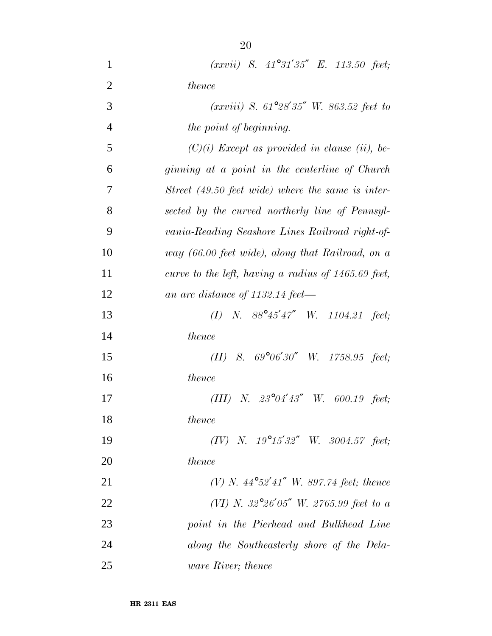| $\mathbf{1}$   | $(xxvii)$ S. $41^{\circ}31'35''$ E. 113.50 feet;                 |
|----------------|------------------------------------------------------------------|
| $\overline{2}$ | thence                                                           |
| 3              | $(xxviii)$ S. 61°28'35" W. 863.52 feet to                        |
| $\overline{4}$ | the point of beginning.                                          |
| 5              | $(C)(i)$ Except as provided in clause (ii), be-                  |
| 6              | ginning at a point in the centerline of Church                   |
| 7              | Street (49.50 feet wide) where the same is inter-                |
| 8              | sected by the curved northerly line of Pennsyl-                  |
| 9              | vania-Reading Seashore Lines Railroad right-of-                  |
| 10             | way (66.00 feet wide), along that Railroad, on a                 |
| 11             | curve to the left, having a radius of $1465.69$ feet,            |
| 12             | an arc distance of $1132.14 \text{ feet}$                        |
| 13             | (I) N. $88^{\circ}45^{\prime}47^{\prime\prime}$ W. 1104.21 feet; |
| 14             | thence                                                           |
| 15             | (II) S. $69^{\circ}06'30''$ W. $1758.95$ feet;                   |
| 16             | <i>thence</i>                                                    |
| 17             | N. $23^{\circ}04'43''$ W. 600.19 feet;<br>(III)                  |
| 18             | thence                                                           |
| 19             | $(IV)$ N. $19^{\circ}15'32''$ W. $3004.57$ feet;                 |
| 20             | thence                                                           |
| 21             | (V) N. $44^{\circ}52'41''$ W. 897.74 feet; thence                |
| 22             | (VI) N. 32°26'05" W. 2765.99 feet to a                           |
| 23             | point in the Pierhead and Bulkhead Line                          |
| 24             | along the Southeasterly shore of the Dela-                       |
| 25             | <i>ware River</i> ; thence                                       |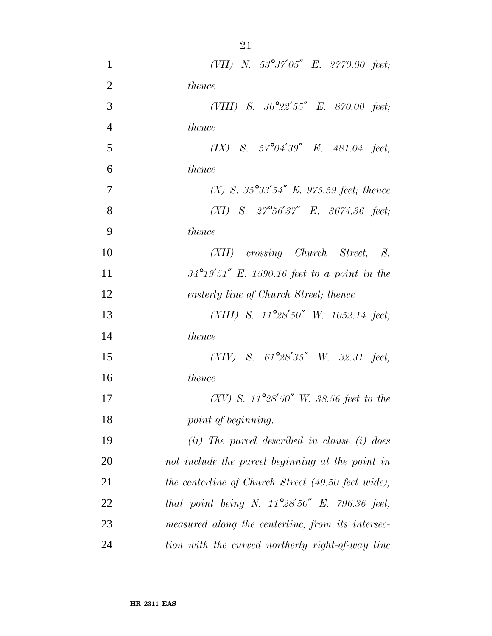| $\mathbf{1}$   | (VII) N. 53°37'05" E. 2770.00 feet;                     |
|----------------|---------------------------------------------------------|
| $\overline{2}$ | thence                                                  |
| 3              | (VIII) S. $36^{\circ}22'55''$ E. $870.00$ feet;         |
| $\overline{4}$ | thence                                                  |
| 5              | $(IX)$ S. $57^{\circ}04'39''$ E. $481.04$ feet;         |
| 6              | <i>thence</i>                                           |
| $\overline{7}$ | (X) S. $35^{\circ}33'54''$ E. 975.59 feet; thence       |
| 8              | $(XI)$ S. $27^{\circ}56'37''$ E. 3674.36 feet;          |
| 9              | thence                                                  |
| 10             | (XII) crossing Church Street, S.                        |
| 11             | $34^{\circ}19'51''$ E. 1590.16 feet to a point in the   |
| 12             | easterly line of Church Street; thence                  |
| 13             | (XIII) S. $11^{\circ}28'50''$ W. $1052.14$ feet;        |
| 14             | thence                                                  |
| 15             | $(XIV)$ S. $61^{\circ}28'35''$ W. 32.31 feet;           |
| 16             | <i>thence</i>                                           |
| 17             | (XV) S. $11^{\circ}28'50''$ W. 38.56 feet to the        |
| 18             | point of beginning.                                     |
| 19             | $(ii)$ The parcel described in clause $(i)$ does        |
| 20             | not include the parcel beginning at the point in        |
| 21             | the centerline of Church Street (49.50 feet wide),      |
| 22             | that point being N. $11^{\circ}28'50''$ E. 796.36 feet, |
| 23             | measured along the centerline, from its intersec-       |
| 24             | tion with the curved northerly right-of-way line        |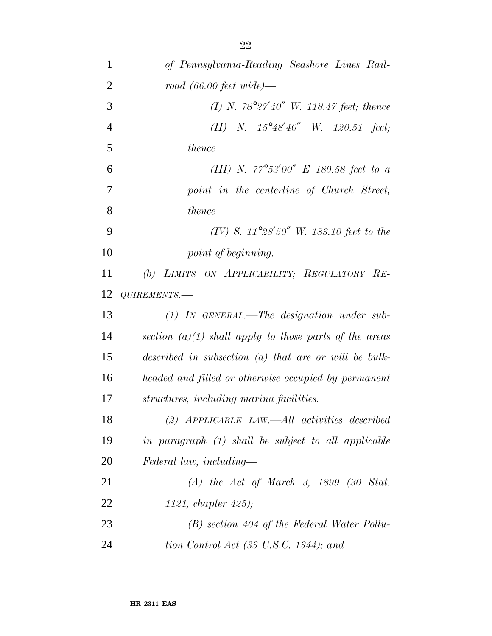| $\mathbf{1}$   | of Pennsylvania-Reading Seashore Lines Rail-             |
|----------------|----------------------------------------------------------|
| $\overline{2}$ | $road (66.00 feet wide)$ —                               |
| 3              | (I) N. $78^{\circ}27'40''$ W. 118.47 feet; thence        |
| $\overline{4}$ | (II) N. $15^{\circ}48'40''$ W. $120.51$ feet;            |
| 5              | thence                                                   |
| 6              | (III) N. $77^{\circ}53'00''$ E 189.58 feet to a          |
| 7              | point in the centerline of Church Street;                |
| 8              | thence                                                   |
| 9              | (IV) S. $11^{\circ}28'50''$ W. 183.10 feet to the        |
| 10             | point of beginning.                                      |
| 11             | (b) LIMITS ON APPLICABILITY; REGULATORY RE-              |
| 12             | QUIREMENTS.-                                             |
| 13             | $(1)$ IN GENERAL.—The designation under sub-             |
| 14             | section $(a)(1)$ shall apply to those parts of the areas |
| 15             | described in subsection $(a)$ that are or will be bulk-  |
| 16             | headed and filled or otherwise occupied by permanent     |
| 17             | structures, including marina facilities.                 |
| 18             | $(2)$ APPLICABLE LAW.—All activities described           |
| 19             | in paragraph (1) shall be subject to all applicable      |
| 20             | Federal law, including—                                  |
| 21             | $(A)$ the Act of March 3, 1899 (30 Stat.                 |
| 22             | 1121, chapter $425$ );                                   |
| 23             | $(B)$ section 404 of the Federal Water Pollu-            |
| 24             | tion Control Act (33 U.S.C. 1344); and                   |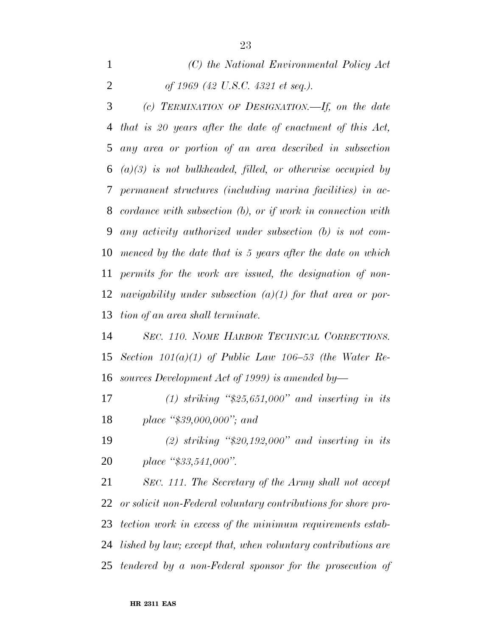*(C) the National Environmental Policy Act of 1969 (42 U.S.C. 4321 et seq.).*

 *(c) TERMINATION OF DESIGNATION.—If, on the date that is 20 years after the date of enactment of this Act, any area or portion of an area described in subsection (a)(3) is not bulkheaded, filled, or otherwise occupied by permanent structures (including marina facilities) in ac- cordance with subsection (b), or if work in connection with any activity authorized under subsection (b) is not com- menced by the date that is 5 years after the date on which permits for the work are issued, the designation of non- navigability under subsection (a)(1) for that area or por-tion of an area shall terminate.*

 *SEC. 110. NOME HARBOR TECHNICAL CORRECTIONS. Section 101(a)(1) of Public Law 106–53 (the Water Re-sources Development Act of 1999) is amended by—*

 *(1) striking ''\$25,651,000'' and inserting in its place ''\$39,000,000''; and*

 *(2) striking ''\$20,192,000'' and inserting in its place ''\$33,541,000''.*

 *SEC. 111. The Secretary of the Army shall not accept or solicit non-Federal voluntary contributions for shore pro- tection work in excess of the minimum requirements estab- lished by law; except that, when voluntary contributions are tendered by a non-Federal sponsor for the prosecution of*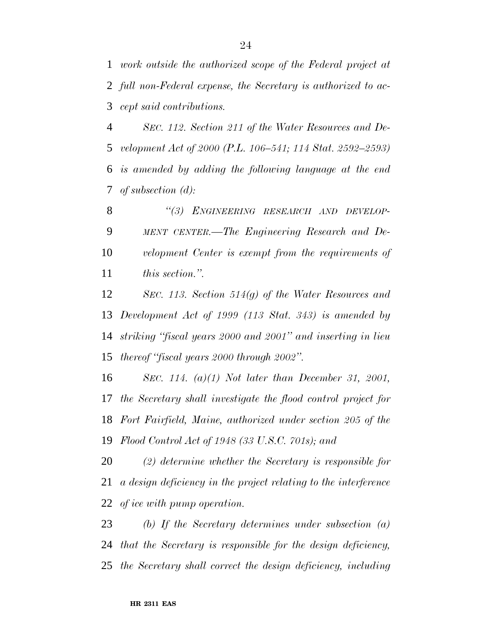*work outside the authorized scope of the Federal project at full non-Federal expense, the Secretary is authorized to ac-cept said contributions.*

 *SEC. 112. Section 211 of the Water Resources and De- velopment Act of 2000 (P.L. 106–541; 114 Stat. 2592–2593) is amended by adding the following language at the end of subsection (d):*

 *''(3) ENGINEERING RESEARCH AND DEVELOP- MENT CENTER.—The Engineering Research and De- velopment Center is exempt from the requirements of this section.''.*

 *SEC. 113. Section 514(g) of the Water Resources and Development Act of 1999 (113 Stat. 343) is amended by striking ''fiscal years 2000 and 2001'' and inserting in lieu thereof ''fiscal years 2000 through 2002''.*

 *SEC. 114. (a)(1) Not later than December 31, 2001, the Secretary shall investigate the flood control project for Fort Fairfield, Maine, authorized under section 205 of the Flood Control Act of 1948 (33 U.S.C. 701s); and*

 *(2) determine whether the Secretary is responsible for a design deficiency in the project relating to the interference of ice with pump operation.*

 *(b) If the Secretary determines under subsection (a) that the Secretary is responsible for the design deficiency, the Secretary shall correct the design deficiency, including*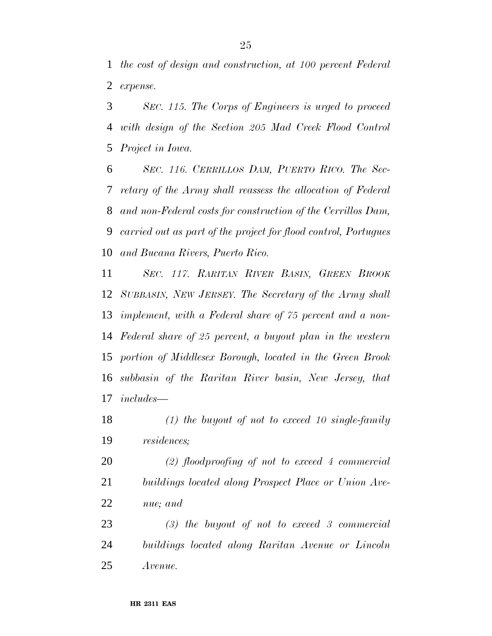*the cost of design and construction, at 100 percent Federal expense.*

 *SEC. 115. The Corps of Engineers is urged to proceed with design of the Section 205 Mad Creek Flood Control Project in Iowa.*

 *SEC. 116. CERRILLOS DAM, PUERTO RICO. The Sec- retary of the Army shall reassess the allocation of Federal and non-Federal costs for construction of the Cerrillos Dam, carried out as part of the project for flood control, Portugues and Bucana Rivers, Puerto Rico.*

 *SEC. 117. RARITAN RIVER BASIN, GREEN BROOK SUBBASIN, NEW JERSEY. The Secretary of the Army shall implement, with a Federal share of 75 percent and a non- Federal share of 25 percent, a buyout plan in the western portion of Middlesex Borough, located in the Green Brook subbasin of the Raritan River basin, New Jersey, that includes—*

 *(1) the buyout of not to exceed 10 single-family residences;*

 *(2) floodproofing of not to exceed 4 commercial buildings located along Prospect Place or Union Ave-nue; and*

 *(3) the buyout of not to exceed 3 commercial buildings located along Raritan Avenue or Lincoln Avenue.*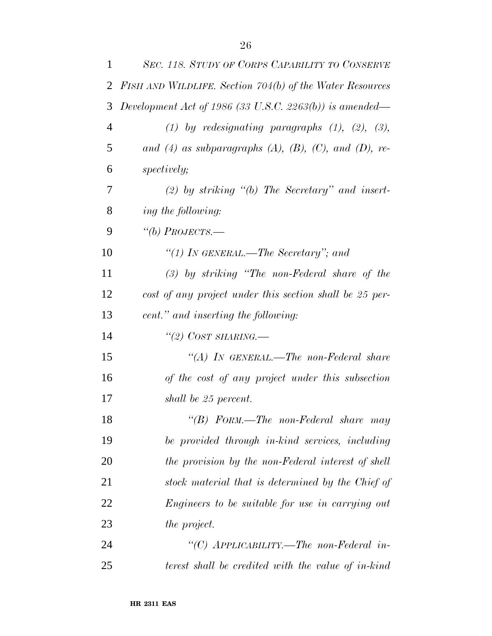| $\mathbf{1}$   | SEC. 118. STUDY OF CORPS CAPABILITY TO CONSERVE          |
|----------------|----------------------------------------------------------|
| $\overline{2}$ | FISH AND WILDLIFE. Section 704(b) of the Water Resources |
| 3              | Development Act of 1986 (33 U.S.C. 2263(b)) is amended—  |
| $\overline{4}$ | (1) by redesignating paragraphs $(1)$ , $(2)$ , $(3)$ ,  |
| 5              | and (4) as subparagraphs (A), (B), (C), and (D), re-     |
| 6              | <i>spectively;</i>                                       |
| 7              | $(2)$ by striking " $(b)$ The Secretary" and insert-     |
| 8              | ing the following:                                       |
| 9              | "(b) PROJECTS.—                                          |
| 10             | "(1) IN GENERAL.—The Secretary"; and                     |
| 11             | $(3)$ by striking "The non-Federal share of the          |
| 12             | cost of any project under this section shall be 25 per-  |
| 13             | cent." and inserting the following:                      |
| 14             | "(2) COST SHARING.—                                      |
| 15             | "(A) IN GENERAL.—The non-Federal share                   |
| 16             | of the cost of any project under this subsection         |
| 17             | shall be 25 percent.                                     |
| 18             | "(B) $FORM.$ —The non-Federal share may                  |
| 19             | be provided through in-kind services, including          |
| 20             | the provision by the non-Federal interest of shell       |
| 21             | stock material that is determined by the Chief of        |
| 22             | Engineers to be suitable for use in carrying out         |
| 23             | the project.                                             |
| 24             | "(C) APPLICABILITY.—The non-Federal in-                  |
| 25             | terest shall be credited with the value of in-kind       |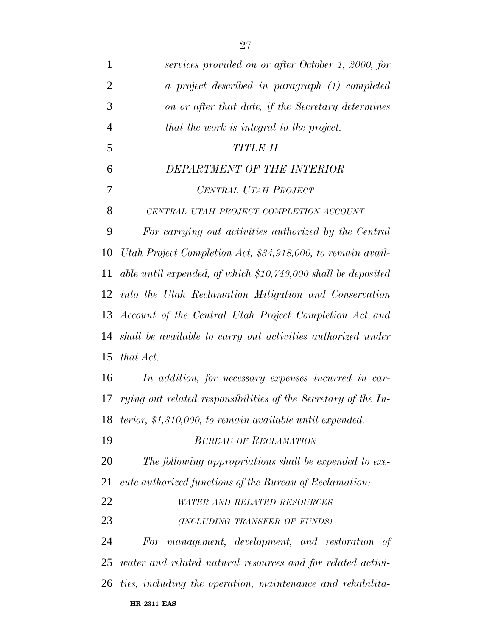| $\mathbf{1}$   | services provided on or after October 1, 2000, for                 |
|----------------|--------------------------------------------------------------------|
| $\overline{2}$ | a project described in paragraph (1) completed                     |
| 3              | on or after that date, if the Secretary determines                 |
| $\overline{4}$ | that the work is integral to the project.                          |
| 5              | TITLE II                                                           |
| 6              | DEPARTMENT OF THE INTERIOR                                         |
| 7              | CENTRAL UTAH PROJECT                                               |
| 8              | CENTRAL UTAH PROJECT COMPLETION ACCOUNT                            |
| 9              | For carrying out activities authorized by the Central              |
| 10             | Utah Project Completion Act, \$34,918,000, to remain avail-        |
| 11             | able until expended, of which $$10,749,000$ shall be deposited     |
| 12             | into the Utah Reclamation Mitigation and Conservation              |
|                | 13 Account of the Central Utah Project Completion Act and          |
|                | 14 shall be available to carry out activities authorized under     |
| 15             | that Act.                                                          |
| 16             | In addition, for necessary expenses incurred in car-               |
| 17             | rying out related responsibilities of the Secretary of the In-     |
|                | 18 terior, \$1,310,000, to remain available until expended.        |
| 19             | <b>BUREAU OF RECLAMATION</b>                                       |
| 20             | The following appropriations shall be expended to exe-             |
| 21             | cute authorized functions of the Bureau of Reclamation:            |
| 22             | WATER AND RELATED RESOURCES                                        |
| 23             | (INCLUDING TRANSFER OF FUNDS)                                      |
| 24             | For management, development, and restoration of                    |
| 25             | <i>water and related natural resources and for related activi-</i> |
| 26             | ties, including the operation, maintenance and rehabilita-         |
|                | <b>HR 2311 EAS</b>                                                 |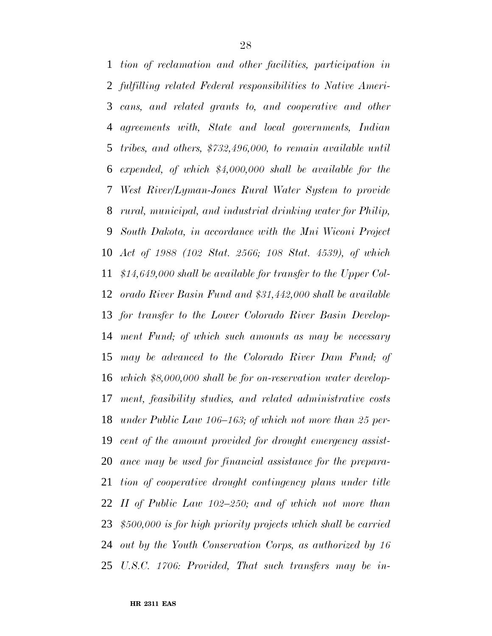*tion of reclamation and other facilities, participation in fulfilling related Federal responsibilities to Native Ameri- cans, and related grants to, and cooperative and other agreements with, State and local governments, Indian tribes, and others, \$732,496,000, to remain available until expended, of which \$4,000,000 shall be available for the West River/Lyman-Jones Rural Water System to provide rural, municipal, and industrial drinking water for Philip, South Dakota, in accordance with the Mni Wiconi Project Act of 1988 (102 Stat. 2566; 108 Stat. 4539), of which \$14,649,000 shall be available for transfer to the Upper Col- orado River Basin Fund and \$31,442,000 shall be available for transfer to the Lower Colorado River Basin Develop- ment Fund; of which such amounts as may be necessary may be advanced to the Colorado River Dam Fund; of which \$8,000,000 shall be for on-reservation water develop- ment, feasibility studies, and related administrative costs under Public Law 106–163; of which not more than 25 per- cent of the amount provided for drought emergency assist- ance may be used for financial assistance for the prepara- tion of cooperative drought contingency plans under title II of Public Law 102–250; and of which not more than \$500,000 is for high priority projects which shall be carried out by the Youth Conservation Corps, as authorized by 16 U.S.C. 1706: Provided, That such transfers may be in-*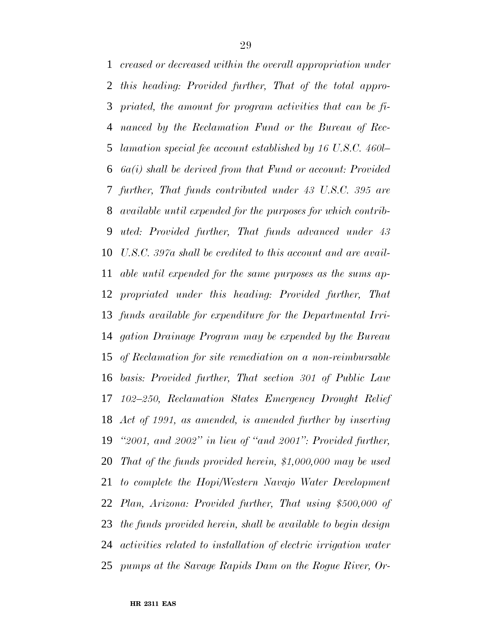*creased or decreased within the overall appropriation under this heading: Provided further, That of the total appro- priated, the amount for program activities that can be fi- nanced by the Reclamation Fund or the Bureau of Rec- lamation special fee account established by 16 U.S.C. 460l– 6a(i) shall be derived from that Fund or account: Provided further, That funds contributed under 43 U.S.C. 395 are available until expended for the purposes for which contrib- uted: Provided further, That funds advanced under 43 U.S.C. 397a shall be credited to this account and are avail- able until expended for the same purposes as the sums ap- propriated under this heading: Provided further, That funds available for expenditure for the Departmental Irri- gation Drainage Program may be expended by the Bureau of Reclamation for site remediation on a non-reimbursable basis: Provided further, That section 301 of Public Law 102–250, Reclamation States Emergency Drought Relief Act of 1991, as amended, is amended further by inserting ''2001, and 2002'' in lieu of ''and 2001'': Provided further, That of the funds provided herein, \$1,000,000 may be used to complete the Hopi/Western Navajo Water Development Plan, Arizona: Provided further, That using \$500,000 of the funds provided herein, shall be available to begin design activities related to installation of electric irrigation water pumps at the Savage Rapids Dam on the Rogue River, Or-*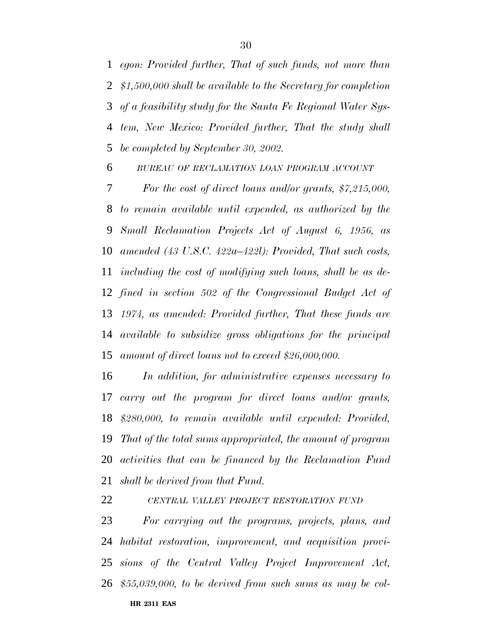*egon: Provided further, That of such funds, not more than \$1,500,000 shall be available to the Secretary for completion of a feasibility study for the Santa Fe Regional Water Sys- tem, New Mexico: Provided further, That the study shall be completed by September 30, 2002.*

*BUREAU OF RECLAMATION LOAN PROGRAM ACCOUNT*

 *For the cost of direct loans and/or grants, \$7,215,000, to remain available until expended, as authorized by the Small Reclamation Projects Act of August 6, 1956, as amended (43 U.S.C. 422a–422l): Provided, That such costs, including the cost of modifying such loans, shall be as de- fined in section 502 of the Congressional Budget Act of 1974, as amended: Provided further, That these funds are available to subsidize gross obligations for the principal amount of direct loans not to exceed \$26,000,000.*

 *In addition, for administrative expenses necessary to carry out the program for direct loans and/or grants, \$280,000, to remain available until expended: Provided, That of the total sums appropriated, the amount of program activities that can be financed by the Reclamation Fund shall be derived from that Fund.*

*CENTRAL VALLEY PROJECT RESTORATION FUND*

**HR 2311 EAS** *For carrying out the programs, projects, plans, and habitat restoration, improvement, and acquisition provi- sions of the Central Valley Project Improvement Act, \$55,039,000, to be derived from such sums as may be col-*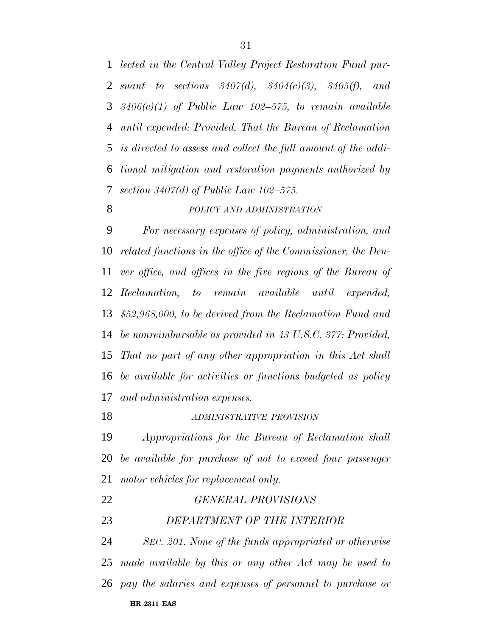*lected in the Central Valley Project Restoration Fund pur- suant to sections 3407(d), 3404(c)(3), 3405(f), and 3406(c)(1) of Public Law 102–575, to remain available until expended: Provided, That the Bureau of Reclamation is directed to assess and collect the full amount of the addi- tional mitigation and restoration payments authorized by section 3407(d) of Public Law 102–575.*

#### *POLICY AND ADMINISTRATION*

 *For necessary expenses of policy, administration, and related functions in the office of the Commissioner, the Den- ver office, and offices in the five regions of the Bureau of Reclamation, to remain available until expended, \$52,968,000, to be derived from the Reclamation Fund and be nonreimbursable as provided in 43 U.S.C. 377: Provided, That no part of any other appropriation in this Act shall be available for activities or functions budgeted as policy and administration expenses.*

#### *ADMINISTRATIVE PROVISION*

 *Appropriations for the Bureau of Reclamation shall be available for purchase of not to exceed four passenger motor vehicles for replacement only.*

|    | <b>HR 2311 EAS</b>                                               |
|----|------------------------------------------------------------------|
|    | $26\,$ pay the salaries and expenses of personnel to purchase or |
|    | 25 made available by this or any other Act may be used to        |
| 24 | SEC. 201. None of the funds appropriated or otherwise            |
| 23 | DEPARTMENT OF THE INTERIOR                                       |
| 22 | <b>GENERAL PROVISIONS</b>                                        |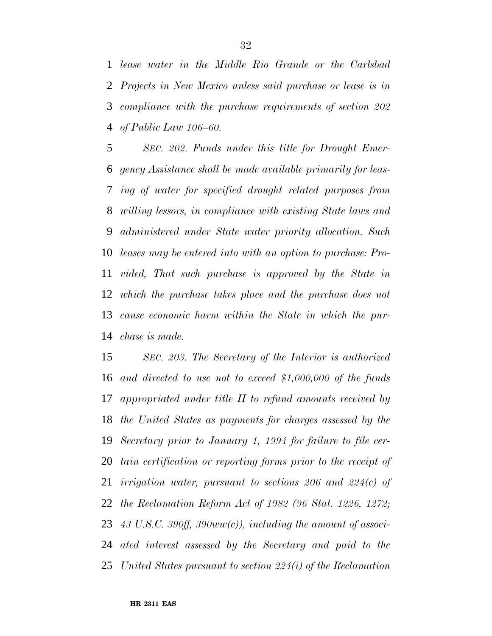*lease water in the Middle Rio Grande or the Carlsbad Projects in New Mexico unless said purchase or lease is in compliance with the purchase requirements of section 202 of Public Law 106–60.*

 *SEC. 202. Funds under this title for Drought Emer- gency Assistance shall be made available primarily for leas- ing of water for specified drought related purposes from willing lessors, in compliance with existing State laws and administered under State water priority allocation. Such leases may be entered into with an option to purchase: Pro- vided, That such purchase is approved by the State in which the purchase takes place and the purchase does not cause economic harm within the State in which the pur-chase is made.*

 *SEC. 203. The Secretary of the Interior is authorized and directed to use not to exceed \$1,000,000 of the funds appropriated under title II to refund amounts received by the United States as payments for charges assessed by the Secretary prior to January 1, 1994 for failure to file cer- tain certification or reporting forms prior to the receipt of irrigation water, pursuant to sections 206 and 224(c) of the Reclamation Reform Act of 1982 (96 Stat. 1226, 1272; 43 U.S.C. 390ff, 390ww(c)), including the amount of associ- ated interest assessed by the Secretary and paid to the United States pursuant to section 224(i) of the Reclamation*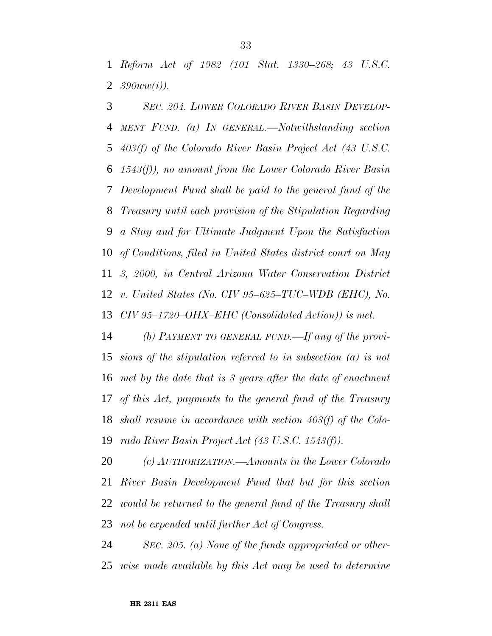*Reform Act of 1982 (101 Stat. 1330–268; 43 U.S.C. 390ww(i)).*

 *SEC. 204. LOWER COLORADO RIVER BASIN DEVELOP- MENT FUND. (a) IN GENERAL.—Notwithstanding section 403(f) of the Colorado River Basin Project Act (43 U.S.C. 1543(f)), no amount from the Lower Colorado River Basin Development Fund shall be paid to the general fund of the Treasury until each provision of the Stipulation Regarding a Stay and for Ultimate Judgment Upon the Satisfaction of Conditions, filed in United States district court on May 3, 2000, in Central Arizona Water Conservation District v. United States (No. CIV 95–625–TUC–WDB (EHC), No. CIV 95–1720–OHX–EHC (Consolidated Action)) is met.*

 *(b) PAYMENT TO GENERAL FUND.—If any of the provi- sions of the stipulation referred to in subsection (a) is not met by the date that is 3 years after the date of enactment of this Act, payments to the general fund of the Treasury shall resume in accordance with section 403(f) of the Colo-rado River Basin Project Act (43 U.S.C. 1543(f)).*

 *(c) AUTHORIZATION.—Amounts in the Lower Colorado River Basin Development Fund that but for this section would be returned to the general fund of the Treasury shall not be expended until further Act of Congress.*

 *SEC. 205. (a) None of the funds appropriated or other-wise made available by this Act may be used to determine*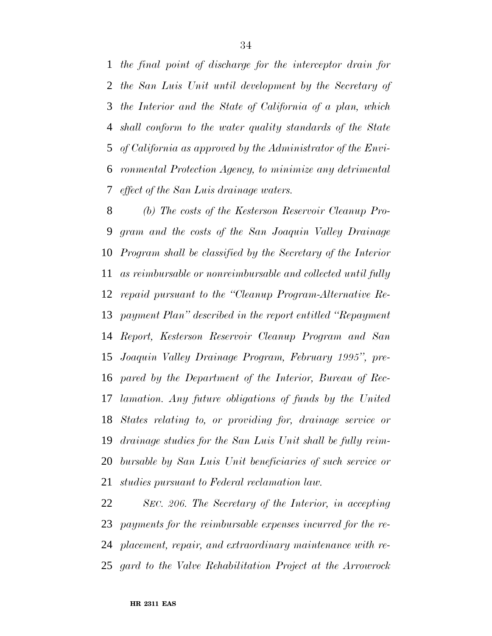*the final point of discharge for the interceptor drain for the San Luis Unit until development by the Secretary of the Interior and the State of California of a plan, which shall conform to the water quality standards of the State of California as approved by the Administrator of the Envi- ronmental Protection Agency, to minimize any detrimental effect of the San Luis drainage waters.*

 *(b) The costs of the Kesterson Reservoir Cleanup Pro- gram and the costs of the San Joaquin Valley Drainage Program shall be classified by the Secretary of the Interior as reimbursable or nonreimbursable and collected until fully repaid pursuant to the ''Cleanup Program-Alternative Re- payment Plan'' described in the report entitled ''Repayment Report, Kesterson Reservoir Cleanup Program and San Joaquin Valley Drainage Program, February 1995'', pre- pared by the Department of the Interior, Bureau of Rec- lamation. Any future obligations of funds by the United States relating to, or providing for, drainage service or drainage studies for the San Luis Unit shall be fully reim- bursable by San Luis Unit beneficiaries of such service or studies pursuant to Federal reclamation law.*

 *SEC. 206. The Secretary of the Interior, in accepting payments for the reimbursable expenses incurred for the re- placement, repair, and extraordinary maintenance with re-gard to the Valve Rehabilitation Project at the Arrowrock*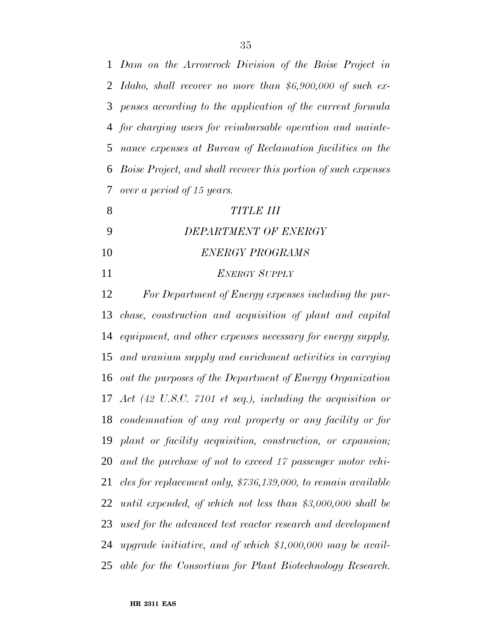*Dam on the Arrowrock Division of the Boise Project in Idaho, shall recover no more than \$6,900,000 of such ex- penses according to the application of the current formula for charging users for reimbursable operation and mainte- nance expenses at Bureau of Reclamation facilities on the Boise Project, and shall recover this portion of such expenses over a period of 15 years.*

| TITLE III            |
|----------------------|
| DEPARTMENT OF ENERGY |

- *ENERGY PROGRAMS*
- *ENERGY SUPPLY*

 *For Department of Energy expenses including the pur- chase, construction and acquisition of plant and capital equipment, and other expenses necessary for energy supply, and uranium supply and enrichment activities in carrying out the purposes of the Department of Energy Organization Act (42 U.S.C. 7101 et seq.), including the acquisition or condemnation of any real property or any facility or for plant or facility acquisition, construction, or expansion; and the purchase of not to exceed 17 passenger motor vehi- cles for replacement only, \$736,139,000, to remain available until expended, of which not less than \$3,000,000 shall be used for the advanced test reactor research and development upgrade initiative, and of which \$1,000,000 may be avail-able for the Consortium for Plant Biotechnology Research.*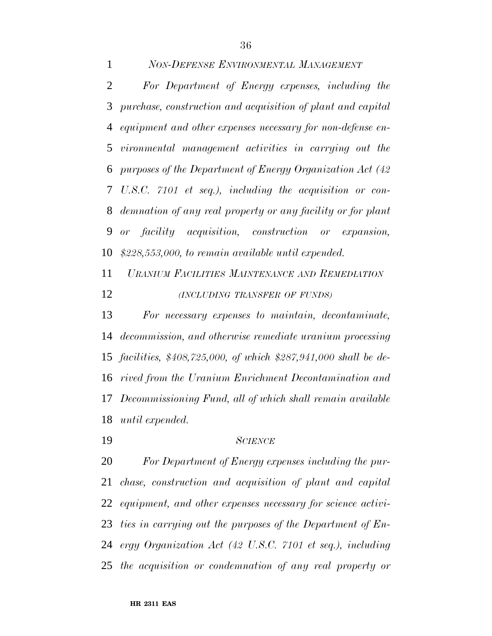*NON-DEFENSE ENVIRONMENTAL MANAGEMENT*

 *For Department of Energy expenses, including the purchase, construction and acquisition of plant and capital equipment and other expenses necessary for non-defense en- vironmental management activities in carrying out the purposes of the Department of Energy Organization Act (42 U.S.C. 7101 et seq.), including the acquisition or con- demnation of any real property or any facility or for plant or facility acquisition, construction or expansion, \$228,553,000, to remain available until expended.*

 *URANIUM FACILITIES MAINTENANCE AND REMEDIATION (INCLUDING TRANSFER OF FUNDS)*

 *For necessary expenses to maintain, decontaminate, decommission, and otherwise remediate uranium processing facilities, \$408,725,000, of which \$287,941,000 shall be de- rived from the Uranium Enrichment Decontamination and Decommissioning Fund, all of which shall remain available until expended.*

*SCIENCE*

 *For Department of Energy expenses including the pur- chase, construction and acquisition of plant and capital equipment, and other expenses necessary for science activi- ties in carrying out the purposes of the Department of En- ergy Organization Act (42 U.S.C. 7101 et seq.), including the acquisition or condemnation of any real property or*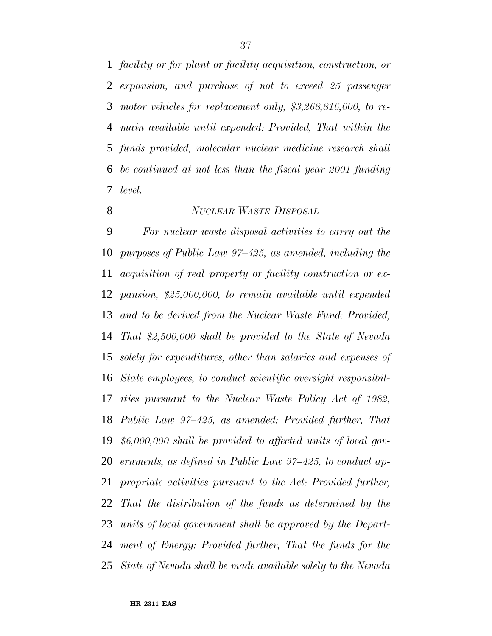*facility or for plant or facility acquisition, construction, or expansion, and purchase of not to exceed 25 passenger motor vehicles for replacement only, \$3,268,816,000, to re- main available until expended: Provided, That within the funds provided, molecular nuclear medicine research shall be continued at not less than the fiscal year 2001 funding level.*

#### *NUCLEAR WASTE DISPOSAL*

 *For nuclear waste disposal activities to carry out the purposes of Public Law 97–425, as amended, including the acquisition of real property or facility construction or ex- pansion, \$25,000,000, to remain available until expended and to be derived from the Nuclear Waste Fund: Provided, That \$2,500,000 shall be provided to the State of Nevada solely for expenditures, other than salaries and expenses of State employees, to conduct scientific oversight responsibil- ities pursuant to the Nuclear Waste Policy Act of 1982, Public Law 97–425, as amended: Provided further, That \$6,000,000 shall be provided to affected units of local gov- ernments, as defined in Public Law 97–425, to conduct ap- propriate activities pursuant to the Act: Provided further, That the distribution of the funds as determined by the units of local government shall be approved by the Depart- ment of Energy: Provided further, That the funds for the State of Nevada shall be made available solely to the Nevada*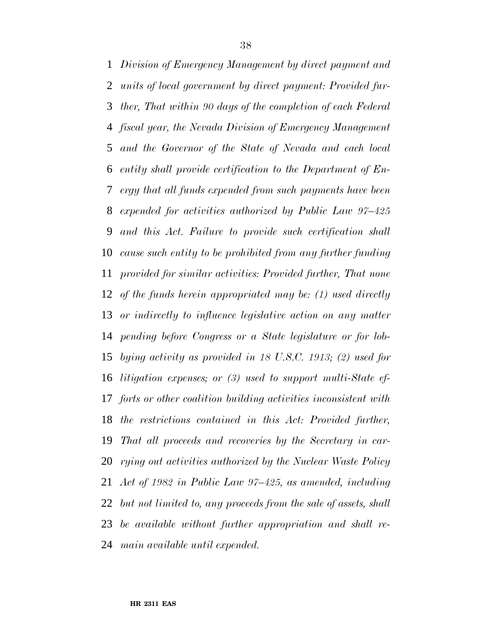*Division of Emergency Management by direct payment and units of local government by direct payment: Provided fur- ther, That within 90 days of the completion of each Federal fiscal year, the Nevada Division of Emergency Management and the Governor of the State of Nevada and each local entity shall provide certification to the Department of En- ergy that all funds expended from such payments have been expended for activities authorized by Public Law 97–425 and this Act. Failure to provide such certification shall cause such entity to be prohibited from any further funding provided for similar activities: Provided further, That none of the funds herein appropriated may be: (1) used directly or indirectly to influence legislative action on any matter pending before Congress or a State legislature or for lob- bying activity as provided in 18 U.S.C. 1913; (2) used for litigation expenses; or (3) used to support multi-State ef- forts or other coalition building activities inconsistent with the restrictions contained in this Act: Provided further, That all proceeds and recoveries by the Secretary in car- rying out activities authorized by the Nuclear Waste Policy Act of 1982 in Public Law 97–425, as amended, including but not limited to, any proceeds from the sale of assets, shall be available without further appropriation and shall re-main available until expended.*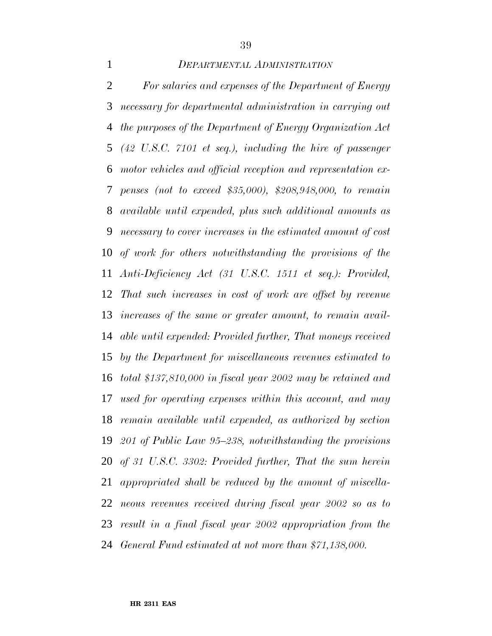### *DEPARTMENTAL ADMINISTRATION*

 *For salaries and expenses of the Department of Energy necessary for departmental administration in carrying out the purposes of the Department of Energy Organization Act (42 U.S.C. 7101 et seq.), including the hire of passenger motor vehicles and official reception and representation ex- penses (not to exceed \$35,000), \$208,948,000, to remain available until expended, plus such additional amounts as necessary to cover increases in the estimated amount of cost of work for others notwithstanding the provisions of the Anti-Deficiency Act (31 U.S.C. 1511 et seq.): Provided, That such increases in cost of work are offset by revenue increases of the same or greater amount, to remain avail- able until expended: Provided further, That moneys received by the Department for miscellaneous revenues estimated to total \$137,810,000 in fiscal year 2002 may be retained and used for operating expenses within this account, and may remain available until expended, as authorized by section 201 of Public Law 95–238, notwithstanding the provisions of 31 U.S.C. 3302: Provided further, That the sum herein appropriated shall be reduced by the amount of miscella- neous revenues received during fiscal year 2002 so as to result in a final fiscal year 2002 appropriation from the General Fund estimated at not more than \$71,138,000.*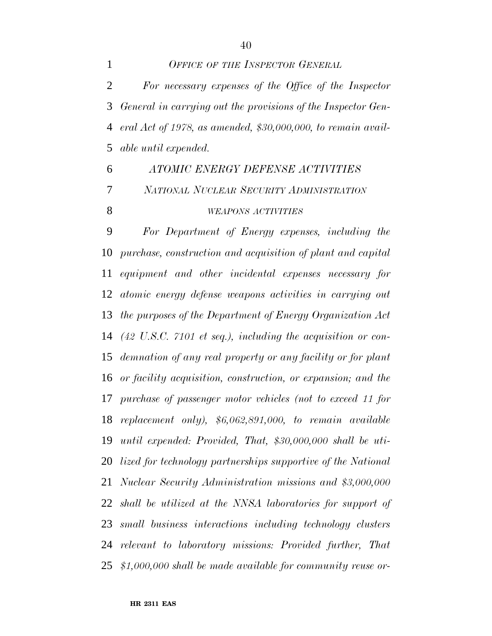*OFFICE OF THE INSPECTOR GENERAL For necessary expenses of the Office of the Inspector General in carrying out the provisions of the Inspector Gen- eral Act of 1978, as amended, \$30,000,000, to remain avail-able until expended.*

 *ATOMIC ENERGY DEFENSE ACTIVITIES NATIONAL NUCLEAR SECURITY ADMINISTRATION WEAPONS ACTIVITIES*

 *For Department of Energy expenses, including the purchase, construction and acquisition of plant and capital equipment and other incidental expenses necessary for atomic energy defense weapons activities in carrying out the purposes of the Department of Energy Organization Act (42 U.S.C. 7101 et seq.), including the acquisition or con- demnation of any real property or any facility or for plant or facility acquisition, construction, or expansion; and the purchase of passenger motor vehicles (not to exceed 11 for replacement only), \$6,062,891,000, to remain available until expended: Provided, That, \$30,000,000 shall be uti- lized for technology partnerships supportive of the National Nuclear Security Administration missions and \$3,000,000 shall be utilized at the NNSA laboratories for support of small business interactions including technology clusters relevant to laboratory missions: Provided further, That \$1,000,000 shall be made available for community reuse or-*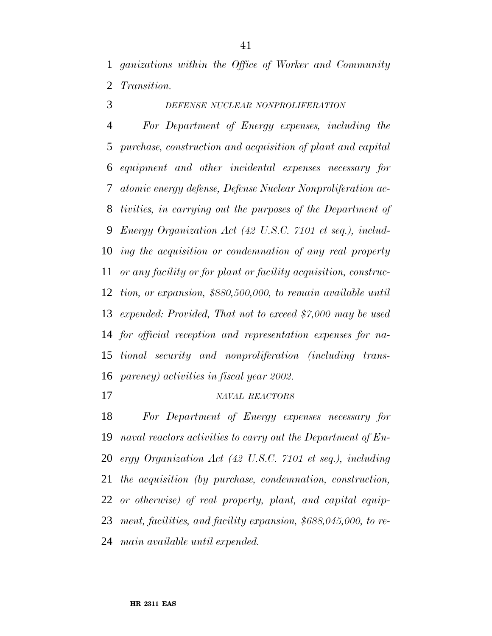*ganizations within the Office of Worker and Community Transition.*

*DEFENSE NUCLEAR NONPROLIFERATION*

 *For Department of Energy expenses, including the purchase, construction and acquisition of plant and capital equipment and other incidental expenses necessary for atomic energy defense, Defense Nuclear Nonproliferation ac- tivities, in carrying out the purposes of the Department of Energy Organization Act (42 U.S.C. 7101 et seq.), includ- ing the acquisition or condemnation of any real property or any facility or for plant or facility acquisition, construc- tion, or expansion, \$880,500,000, to remain available until expended: Provided, That not to exceed \$7,000 may be used for official reception and representation expenses for na- tional security and nonproliferation (including trans-parency) activities in fiscal year 2002.*

#### *NAVAL REACTORS*

 *For Department of Energy expenses necessary for naval reactors activities to carry out the Department of En- ergy Organization Act (42 U.S.C. 7101 et seq.), including the acquisition (by purchase, condemnation, construction, or otherwise) of real property, plant, and capital equip- ment, facilities, and facility expansion, \$688,045,000, to re-main available until expended.*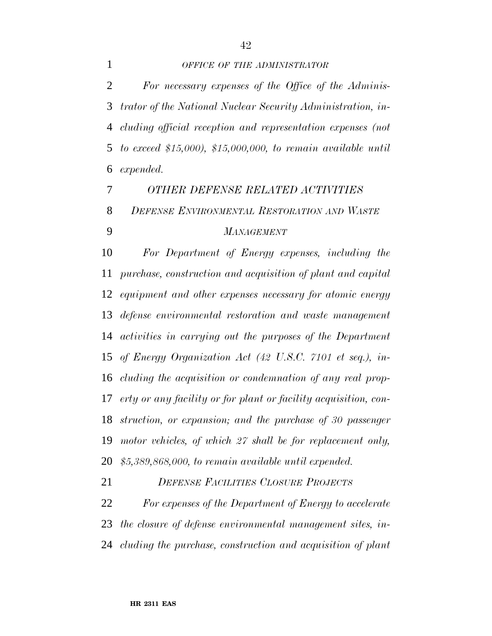#### *OFFICE OF THE ADMINISTRATOR*

 *For necessary expenses of the Office of the Adminis- trator of the National Nuclear Security Administration, in- cluding official reception and representation expenses (not to exceed \$15,000), \$15,000,000, to remain available until expended.*

 *OTHER DEFENSE RELATED ACTIVITIES DEFENSE ENVIRONMENTAL RESTORATION AND WASTE MANAGEMENT*

 *For Department of Energy expenses, including the purchase, construction and acquisition of plant and capital equipment and other expenses necessary for atomic energy defense environmental restoration and waste management activities in carrying out the purposes of the Department of Energy Organization Act (42 U.S.C. 7101 et seq.), in- cluding the acquisition or condemnation of any real prop- erty or any facility or for plant or facility acquisition, con- struction, or expansion; and the purchase of 30 passenger motor vehicles, of which 27 shall be for replacement only, \$5,389,868,000, to remain available until expended.*

 *DEFENSE FACILITIES CLOSURE PROJECTS For expenses of the Department of Energy to accelerate*

 *the closure of defense environmental management sites, in-cluding the purchase, construction and acquisition of plant*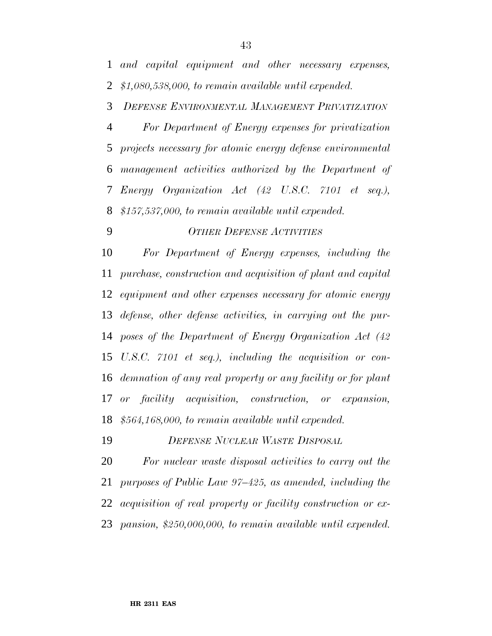*DEFENSE ENVIRONMENTAL MANAGEMENT PRIVATIZATION*

 *For Department of Energy expenses for privatization projects necessary for atomic energy defense environmental management activities authorized by the Department of Energy Organization Act (42 U.S.C. 7101 et seq.), \$157,537,000, to remain available until expended.*

### *OTHER DEFENSE ACTIVITIES*

 *For Department of Energy expenses, including the purchase, construction and acquisition of plant and capital equipment and other expenses necessary for atomic energy defense, other defense activities, in carrying out the pur- poses of the Department of Energy Organization Act (42 U.S.C. 7101 et seq.), including the acquisition or con- demnation of any real property or any facility or for plant or facility acquisition, construction, or expansion, \$564,168,000, to remain available until expended.*

*DEFENSE NUCLEAR WASTE DISPOSAL*

 *For nuclear waste disposal activities to carry out the purposes of Public Law 97–425, as amended, including the acquisition of real property or facility construction or ex-pansion, \$250,000,000, to remain available until expended.*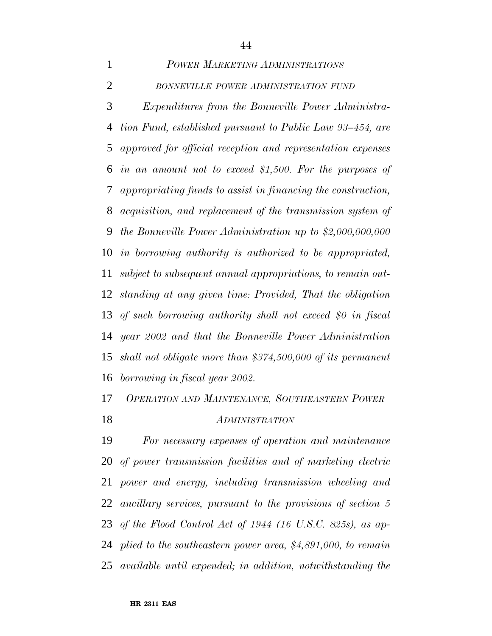| $\mathbf{1}$   | POWER MARKETING ADMINISTRATIONS                                 |
|----------------|-----------------------------------------------------------------|
| $\overline{2}$ | BONNEVILLE POWER ADMINISTRATION FUND                            |
| 3              | <i>Expenditures from the Bonneville Power Administra-</i>       |
| 4              | tion Fund, established pursuant to Public Law 93–454, are       |
| 5              | approved for official reception and representation expenses     |
| 6              | in an amount not to exceed \$1,500. For the purposes of         |
| 7              | appropriating funds to assist in financing the construction,    |
| 8              | acquisition, and replacement of the transmission system of      |
| 9              | the Bonneville Power Administration up to \$2,000,000,000       |
| 10             | in borrowing authority is authorized to be appropriated,        |
| 11             | subject to subsequent annual appropriations, to remain out-     |
| 12             | standing at any given time: Provided, That the obligation       |
| 13             | of such borrowing authority shall not exceed \$0 in fiscal      |
| 14             | year 2002 and that the Bonneville Power Administration          |
|                | 15 shall not obligate more than $$374,500,000$ of its permanent |
|                | 16 borrowing in fiscal year 2002.                               |

## *OPERATION AND MAINTENANCE, SOUTHEASTERN POWER ADMINISTRATION*

 *For necessary expenses of operation and maintenance of power transmission facilities and of marketing electric power and energy, including transmission wheeling and ancillary services, pursuant to the provisions of section 5 of the Flood Control Act of 1944 (16 U.S.C. 825s), as ap- plied to the southeastern power area, \$4,891,000, to remain available until expended; in addition, notwithstanding the*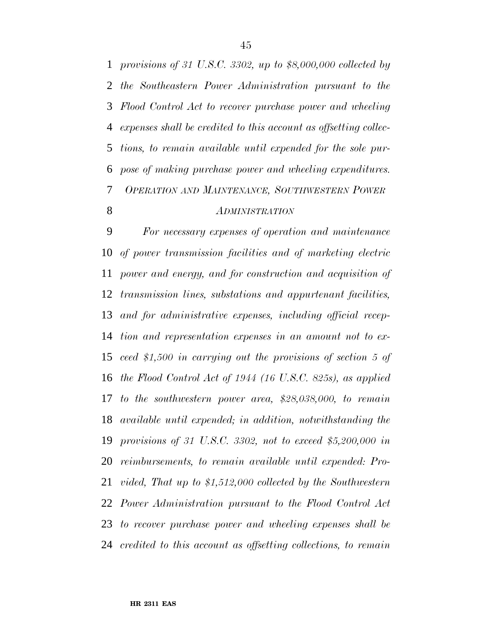*provisions of 31 U.S.C. 3302, up to \$8,000,000 collected by the Southeastern Power Administration pursuant to the Flood Control Act to recover purchase power and wheeling expenses shall be credited to this account as offsetting collec- tions, to remain available until expended for the sole pur- pose of making purchase power and wheeling expenditures. OPERATION AND MAINTENANCE, SOUTHWESTERN POWER ADMINISTRATION*

 *For necessary expenses of operation and maintenance of power transmission facilities and of marketing electric power and energy, and for construction and acquisition of transmission lines, substations and appurtenant facilities, and for administrative expenses, including official recep- tion and representation expenses in an amount not to ex- ceed \$1,500 in carrying out the provisions of section 5 of the Flood Control Act of 1944 (16 U.S.C. 825s), as applied to the southwestern power area, \$28,038,000, to remain available until expended; in addition, notwithstanding the provisions of 31 U.S.C. 3302, not to exceed \$5,200,000 in reimbursements, to remain available until expended: Pro- vided, That up to \$1,512,000 collected by the Southwestern Power Administration pursuant to the Flood Control Act to recover purchase power and wheeling expenses shall be credited to this account as offsetting collections, to remain*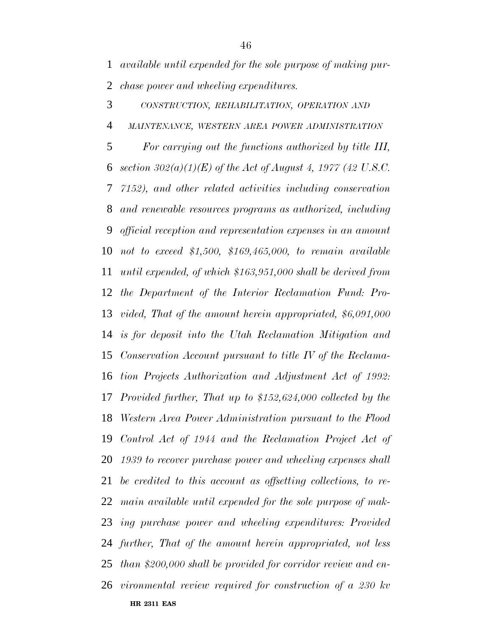*available until expended for the sole purpose of making pur-*

*chase power and wheeling expenditures.*

**HR 2311 EAS** *CONSTRUCTION, REHABILITATION, OPERATION AND MAINTENANCE, WESTERN AREA POWER ADMINISTRATION For carrying out the functions authorized by title III, section 302(a)(1)(E) of the Act of August 4, 1977 (42 U.S.C. 7152), and other related activities including conservation and renewable resources programs as authorized, including official reception and representation expenses in an amount not to exceed \$1,500, \$169,465,000, to remain available until expended, of which \$163,951,000 shall be derived from the Department of the Interior Reclamation Fund: Pro- vided, That of the amount herein appropriated, \$6,091,000 is for deposit into the Utah Reclamation Mitigation and Conservation Account pursuant to title IV of the Reclama- tion Projects Authorization and Adjustment Act of 1992: Provided further, That up to \$152,624,000 collected by the Western Area Power Administration pursuant to the Flood Control Act of 1944 and the Reclamation Project Act of 1939 to recover purchase power and wheeling expenses shall be credited to this account as offsetting collections, to re- main available until expended for the sole purpose of mak- ing purchase power and wheeling expenditures: Provided further, That of the amount herein appropriated, not less than \$200,000 shall be provided for corridor review and en-vironmental review required for construction of a 230 kv*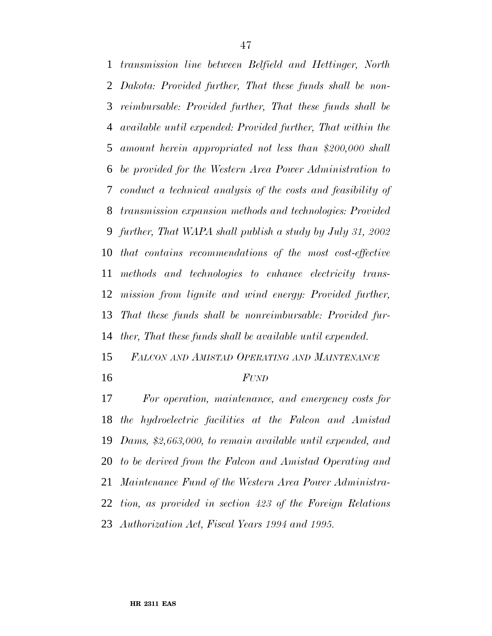*transmission line between Belfield and Hettinger, North Dakota: Provided further, That these funds shall be non- reimbursable: Provided further, That these funds shall be available until expended: Provided further, That within the amount herein appropriated not less than \$200,000 shall be provided for the Western Area Power Administration to conduct a technical analysis of the costs and feasibility of transmission expansion methods and technologies: Provided further, That WAPA shall publish a study by July 31, 2002 that contains recommendations of the most cost-effective methods and technologies to enhance electricity trans- mission from lignite and wind energy: Provided further, That these funds shall be nonreimbursable: Provided fur-ther, That these funds shall be available until expended.*

 *FALCON AND AMISTAD OPERATING AND MAINTENANCE FUND*

 *For operation, maintenance, and emergency costs for the hydroelectric facilities at the Falcon and Amistad Dams, \$2,663,000, to remain available until expended, and to be derived from the Falcon and Amistad Operating and Maintenance Fund of the Western Area Power Administra- tion, as provided in section 423 of the Foreign Relations Authorization Act, Fiscal Years 1994 and 1995.*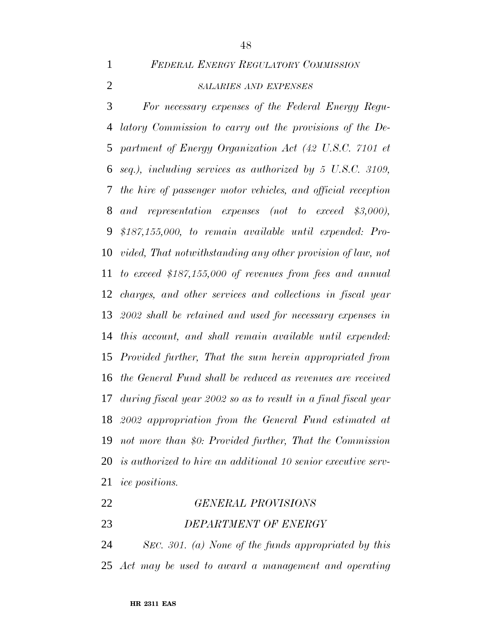*FEDERAL ENERGY REGULATORY COMMISSION*

### *SALARIES AND EXPENSES*

 *For necessary expenses of the Federal Energy Regu- latory Commission to carry out the provisions of the De- partment of Energy Organization Act (42 U.S.C. 7101 et seq.), including services as authorized by 5 U.S.C. 3109, the hire of passenger motor vehicles, and official reception and representation expenses (not to exceed \$3,000), \$187,155,000, to remain available until expended: Pro- vided, That notwithstanding any other provision of law, not to exceed \$187,155,000 of revenues from fees and annual charges, and other services and collections in fiscal year 2002 shall be retained and used for necessary expenses in this account, and shall remain available until expended: Provided further, That the sum herein appropriated from the General Fund shall be reduced as revenues are received during fiscal year 2002 so as to result in a final fiscal year 2002 appropriation from the General Fund estimated at not more than \$0: Provided further, That the Commission is authorized to hire an additional 10 senior executive serv-ice positions.*

 *GENERAL PROVISIONS DEPARTMENT OF ENERGY*

 *SEC. 301. (a) None of the funds appropriated by this Act may be used to award a management and operating*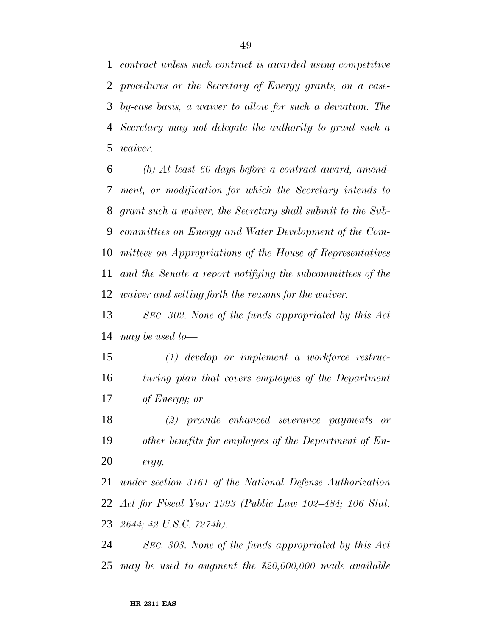*contract unless such contract is awarded using competitive procedures or the Secretary of Energy grants, on a case- by-case basis, a waiver to allow for such a deviation. The Secretary may not delegate the authority to grant such a waiver.*

 *(b) At least 60 days before a contract award, amend- ment, or modification for which the Secretary intends to grant such a waiver, the Secretary shall submit to the Sub- committees on Energy and Water Development of the Com- mittees on Appropriations of the House of Representatives and the Senate a report notifying the subcommittees of the waiver and setting forth the reasons for the waiver.*

 *SEC. 302. None of the funds appropriated by this Act may be used to—*

 *(1) develop or implement a workforce restruc- turing plan that covers employees of the Department of Energy; or*

 *(2) provide enhanced severance payments or other benefits for employees of the Department of En-ergy,*

 *under section 3161 of the National Defense Authorization Act for Fiscal Year 1993 (Public Law 102–484; 106 Stat. 2644; 42 U.S.C. 7274h).*

 *SEC. 303. None of the funds appropriated by this Act may be used to augment the \$20,000,000 made available*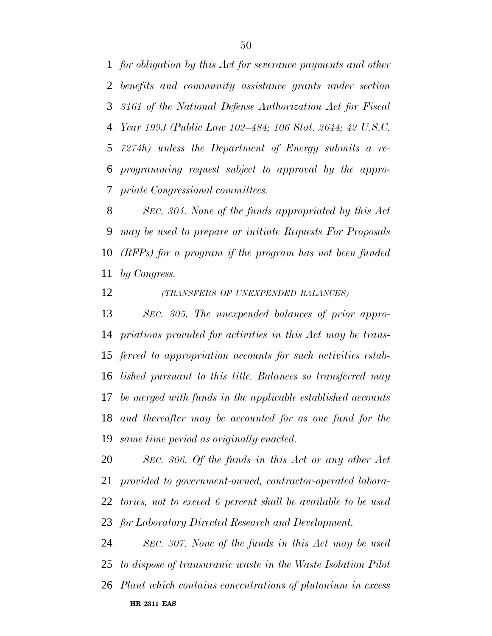*for obligation by this Act for severance payments and other benefits and community assistance grants under section 3161 of the National Defense Authorization Act for Fiscal Year 1993 (Public Law 102–484; 106 Stat. 2644; 42 U.S.C. 7274h) unless the Department of Energy submits a re- programming request subject to approval by the appro-priate Congressional committees.*

 *SEC. 304. None of the funds appropriated by this Act may be used to prepare or initiate Requests For Proposals (RFPs) for a program if the program has not been funded by Congress.*

*(TRANSFERS OF UNEXPENDED BALANCES)*

 *SEC. 305. The unexpended balances of prior appro- priations provided for activities in this Act may be trans- ferred to appropriation accounts for such activities estab- lished pursuant to this title. Balances so transferred may be merged with funds in the applicable established accounts and thereafter may be accounted for as one fund for the same time period as originally enacted.*

 *SEC. 306. Of the funds in this Act or any other Act provided to government-owned, contractor-operated labora- tories, not to exceed 6 percent shall be available to be used for Laboratory Directed Research and Development.*

**HR 2311 EAS** *SEC. 307. None of the funds in this Act may be used to dispose of transuranic waste in the Waste Isolation Pilot Plant which contains concentrations of plutonium in excess*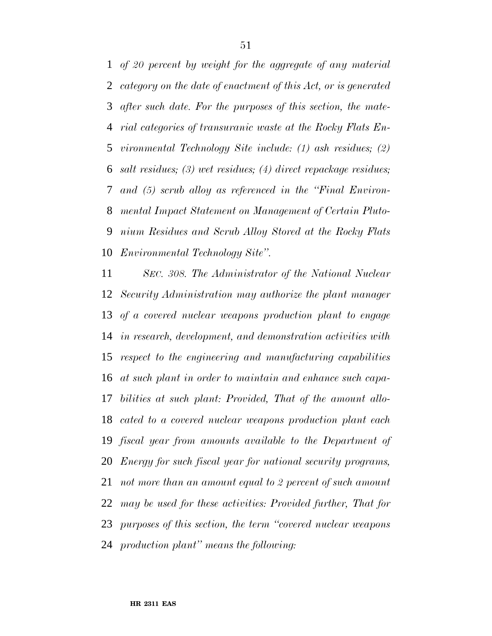*of 20 percent by weight for the aggregate of any material category on the date of enactment of this Act, or is generated after such date. For the purposes of this section, the mate- rial categories of transuranic waste at the Rocky Flats En- vironmental Technology Site include: (1) ash residues; (2) salt residues; (3) wet residues; (4) direct repackage residues; and (5) scrub alloy as referenced in the ''Final Environ- mental Impact Statement on Management of Certain Pluto- nium Residues and Scrub Alloy Stored at the Rocky Flats Environmental Technology Site''.*

 *SEC. 308. The Administrator of the National Nuclear Security Administration may authorize the plant manager of a covered nuclear weapons production plant to engage in research, development, and demonstration activities with respect to the engineering and manufacturing capabilities at such plant in order to maintain and enhance such capa- bilities at such plant: Provided, That of the amount allo- cated to a covered nuclear weapons production plant each fiscal year from amounts available to the Department of Energy for such fiscal year for national security programs, not more than an amount equal to 2 percent of such amount may be used for these activities: Provided further, That for purposes of this section, the term ''covered nuclear weapons production plant'' means the following:*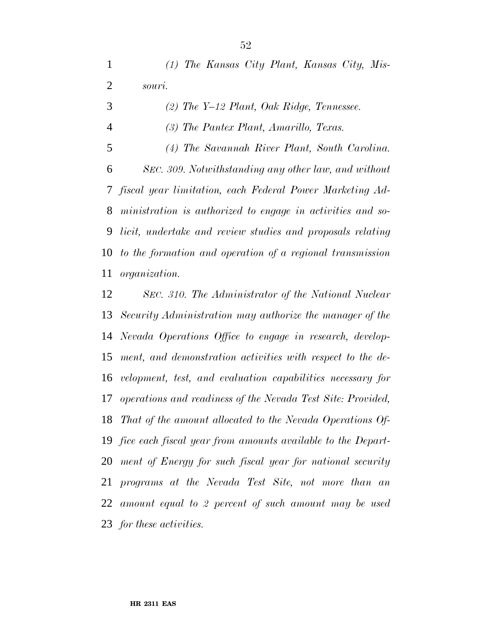*(1) The Kansas City Plant, Kansas City, Mis- souri. (2) The Y–12 Plant, Oak Ridge, Tennessee. (3) The Pantex Plant, Amarillo, Texas. (4) The Savannah River Plant, South Carolina. SEC. 309. Notwithstanding any other law, and without fiscal year limitation, each Federal Power Marketing Ad- ministration is authorized to engage in activities and so- licit, undertake and review studies and proposals relating to the formation and operation of a regional transmission organization.*

 *SEC. 310. The Administrator of the National Nuclear Security Administration may authorize the manager of the Nevada Operations Office to engage in research, develop- ment, and demonstration activities with respect to the de- velopment, test, and evaluation capabilities necessary for operations and readiness of the Nevada Test Site: Provided, That of the amount allocated to the Nevada Operations Of- fice each fiscal year from amounts available to the Depart- ment of Energy for such fiscal year for national security programs at the Nevada Test Site, not more than an amount equal to 2 percent of such amount may be used for these activities.*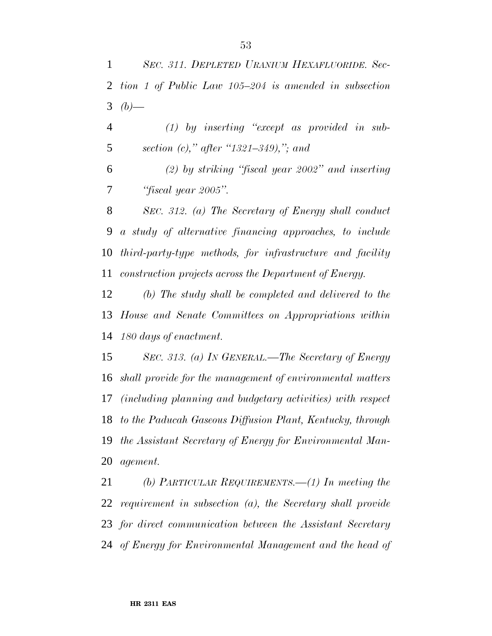*(1) by inserting ''except as provided in sub-section (c),'' after ''1321–349),''; and*

 *(2) by striking ''fiscal year 2002'' and inserting ''fiscal year 2005''.*

 *SEC. 312. (a) The Secretary of Energy shall conduct a study of alternative financing approaches, to include third-party-type methods, for infrastructure and facility construction projects across the Department of Energy.*

 *(b) The study shall be completed and delivered to the House and Senate Committees on Appropriations within 180 days of enactment.*

 *SEC. 313. (a) IN GENERAL.—The Secretary of Energy shall provide for the management of environmental matters (including planning and budgetary activities) with respect to the Paducah Gaseous Diffusion Plant, Kentucky, through the Assistant Secretary of Energy for Environmental Man-agement.*

 *(b) PARTICULAR REQUIREMENTS.—(1) In meeting the requirement in subsection (a), the Secretary shall provide for direct communication between the Assistant Secretary of Energy for Environmental Management and the head of*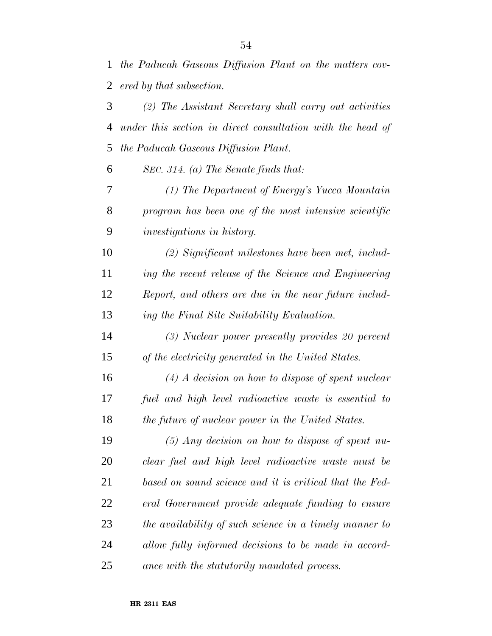*the Paducah Gaseous Diffusion Plant on the matters cov- ered by that subsection. (2) The Assistant Secretary shall carry out activities*

 *under this section in direct consultation with the head of the Paducah Gaseous Diffusion Plant.*

*SEC. 314. (a) The Senate finds that:*

 *(1) The Department of Energy's Yucca Mountain program has been one of the most intensive scientific investigations in history.*

 *(2) Significant milestones have been met, includ- ing the recent release of the Science and Engineering Report, and others are due in the near future includ-ing the Final Site Suitability Evaluation.*

 *(3) Nuclear power presently provides 20 percent of the electricity generated in the United States.*

 *(4) A decision on how to dispose of spent nuclear fuel and high level radioactive waste is essential to the future of nuclear power in the United States.*

 *(5) Any decision on how to dispose of spent nu- clear fuel and high level radioactive waste must be based on sound science and it is critical that the Fed- eral Government provide adequate funding to ensure the availability of such science in a timely manner to allow fully informed decisions to be made in accord-ance with the statutorily mandated process.*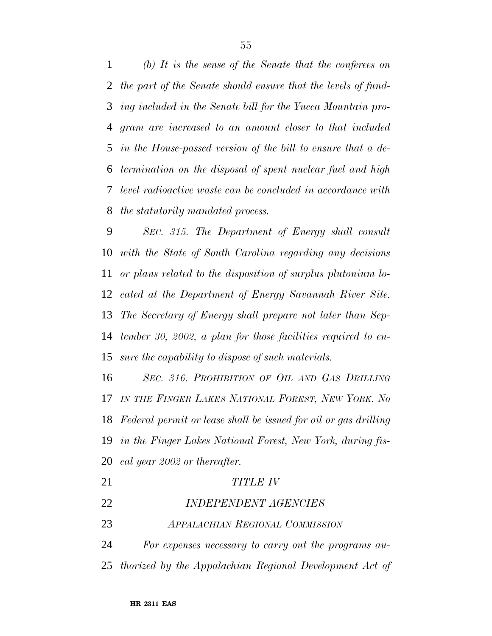*(b) It is the sense of the Senate that the conferees on the part of the Senate should ensure that the levels of fund- ing included in the Senate bill for the Yucca Mountain pro- gram are increased to an amount closer to that included in the House-passed version of the bill to ensure that a de- termination on the disposal of spent nuclear fuel and high level radioactive waste can be concluded in accordance with the statutorily mandated process.*

 *SEC. 315. The Department of Energy shall consult with the State of South Carolina regarding any decisions or plans related to the disposition of surplus plutonium lo- cated at the Department of Energy Savannah River Site. The Secretary of Energy shall prepare not later than Sep- tember 30, 2002, a plan for those facilities required to en-sure the capability to dispose of such materials.*

 *SEC. 316. PROHIBITION OF OIL AND GAS DRILLING IN THE FINGER LAKES NATIONAL FOREST, NEW YORK. No Federal permit or lease shall be issued for oil or gas drilling in the Finger Lakes National Forest, New York, during fis-cal year 2002 or thereafter.*

| 21 | <i>TITLE IV</i>                        |
|----|----------------------------------------|
| 22 | <b>INDEPENDENT AGENCIES</b>            |
| 23 | <b>APPALACHIAN REGIONAL COMMISSION</b> |

 *For expenses necessary to carry out the programs au-thorized by the Appalachian Regional Development Act of*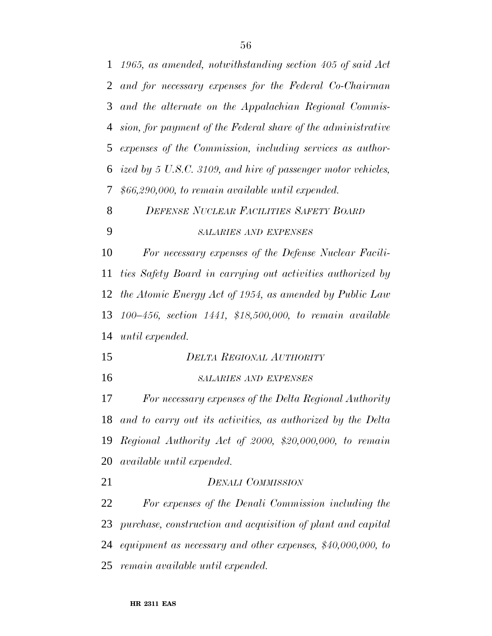| $\mathbf{1}$   | 1965, as amended, notwithstanding section 405 of said Act      |
|----------------|----------------------------------------------------------------|
| $\overline{2}$ | and for necessary expenses for the Federal Co-Chairman         |
| 3              | and the alternate on the Appalachian Regional Commis-          |
| 4              | sion, for payment of the Federal share of the administrative   |
| 5              | expenses of the Commission, including services as author-      |
| 6              | ized by 5 U.S.C. 3109, and hire of passenger motor vehicles,   |
| 7              | $$66,290,000,$ to remain available until expended.             |
| 8              | <b>DEFENSE NUCLEAR FACILITIES SAFETY BOARD</b>                 |
| 9              | <b>SALARIES AND EXPENSES</b>                                   |
| 10             | For necessary expenses of the Defense Nuclear Facili-          |
| 11             | ties Safety Board in carrying out activities authorized by     |
| 12             | the Atomic Energy Act of 1954, as amended by Public Law        |
| 13             | $100-456$ , section $1441$ , \$18,500,000, to remain available |
| 14             | until expended.                                                |
| 15             | <b>DELTA REGIONAL AUTHORITY</b>                                |
| 16             | <b>SALARIES AND EXPENSES</b>                                   |
| 17             | For necessary expenses of the Delta Regional Authority         |
| 18             | and to carry out its activities, as authorized by the Delta    |
| 19             | Regional Authority Act of 2000, \$20,000,000, to remain        |
| 20             | <i>available until expended.</i>                               |
| 21             | <b>DENALI COMMISSION</b>                                       |
| 22             | For expenses of the Denali Commission including the            |
| 23             | purchase, construction and acquisition of plant and capital    |
| 24             | equipment as necessary and other expenses, $$40,000,000,$ to   |
|                | 25 remain available until expended.                            |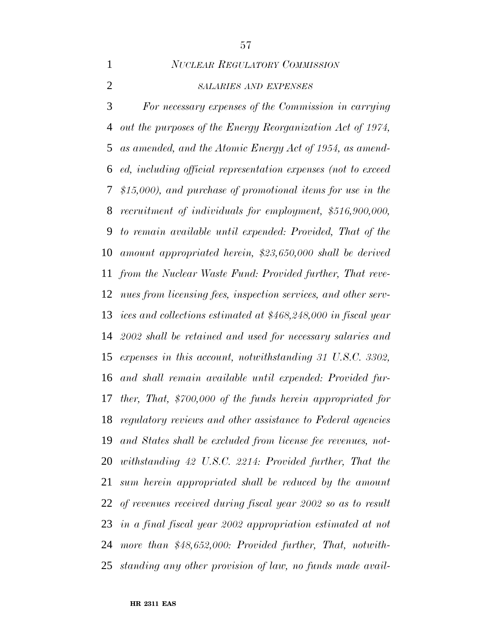*NUCLEAR REGULATORY COMMISSION*

### *SALARIES AND EXPENSES*

 *For necessary expenses of the Commission in carrying out the purposes of the Energy Reorganization Act of 1974, as amended, and the Atomic Energy Act of 1954, as amend- ed, including official representation expenses (not to exceed \$15,000), and purchase of promotional items for use in the recruitment of individuals for employment, \$516,900,000, to remain available until expended: Provided, That of the amount appropriated herein, \$23,650,000 shall be derived from the Nuclear Waste Fund: Provided further, That reve- nues from licensing fees, inspection services, and other serv- ices and collections estimated at \$468,248,000 in fiscal year 2002 shall be retained and used for necessary salaries and expenses in this account, notwithstanding 31 U.S.C. 3302, and shall remain available until expended: Provided fur- ther, That, \$700,000 of the funds herein appropriated for regulatory reviews and other assistance to Federal agencies and States shall be excluded from license fee revenues, not- withstanding 42 U.S.C. 2214: Provided further, That the sum herein appropriated shall be reduced by the amount of revenues received during fiscal year 2002 so as to result in a final fiscal year 2002 appropriation estimated at not more than \$48,652,000: Provided further, That, notwith-standing any other provision of law, no funds made avail-*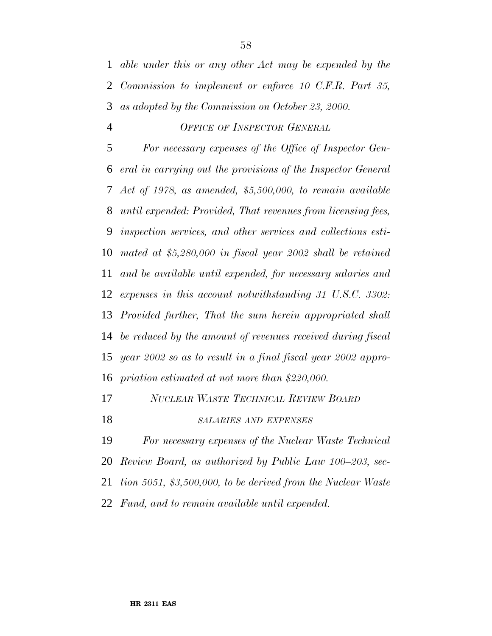*able under this or any other Act may be expended by the Commission to implement or enforce 10 C.F.R. Part 35, as adopted by the Commission on October 23, 2000.*

#### *OFFICE OF INSPECTOR GENERAL*

 *For necessary expenses of the Office of Inspector Gen- eral in carrying out the provisions of the Inspector General Act of 1978, as amended, \$5,500,000, to remain available until expended: Provided, That revenues from licensing fees, inspection services, and other services and collections esti- mated at \$5,280,000 in fiscal year 2002 shall be retained and be available until expended, for necessary salaries and expenses in this account notwithstanding 31 U.S.C. 3302: Provided further, That the sum herein appropriated shall be reduced by the amount of revenues received during fiscal year 2002 so as to result in a final fiscal year 2002 appro-priation estimated at not more than \$220,000.*

- *NUCLEAR WASTE TECHNICAL REVIEW BOARD*
- *SALARIES AND EXPENSES*

 *For necessary expenses of the Nuclear Waste Technical Review Board, as authorized by Public Law 100–203, sec-*

*tion 5051, \$3,500,000, to be derived from the Nuclear Waste*

*Fund, and to remain available until expended.*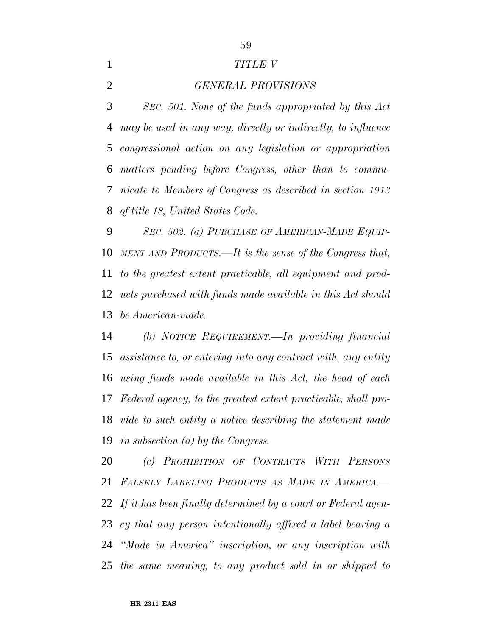#### *TITLE V*

*GENERAL PROVISIONS*

 *SEC. 501. None of the funds appropriated by this Act may be used in any way, directly or indirectly, to influence congressional action on any legislation or appropriation matters pending before Congress, other than to commu- nicate to Members of Congress as described in section 1913 of title 18, United States Code.*

 *SEC. 502. (a) PURCHASE OF AMERICAN-MADE EQUIP- MENT AND PRODUCTS.—It is the sense of the Congress that, to the greatest extent practicable, all equipment and prod- ucts purchased with funds made available in this Act should be American-made.*

 *(b) NOTICE REQUIREMENT.—In providing financial assistance to, or entering into any contract with, any entity using funds made available in this Act, the head of each Federal agency, to the greatest extent practicable, shall pro- vide to such entity a notice describing the statement made in subsection (a) by the Congress.*

 *(c) PROHIBITION OF CONTRACTS WITH PERSONS FALSELY LABELING PRODUCTS AS MADE IN AMERICA.— If it has been finally determined by a court or Federal agen- cy that any person intentionally affixed a label bearing a ''Made in America'' inscription, or any inscription with the same meaning, to any product sold in or shipped to*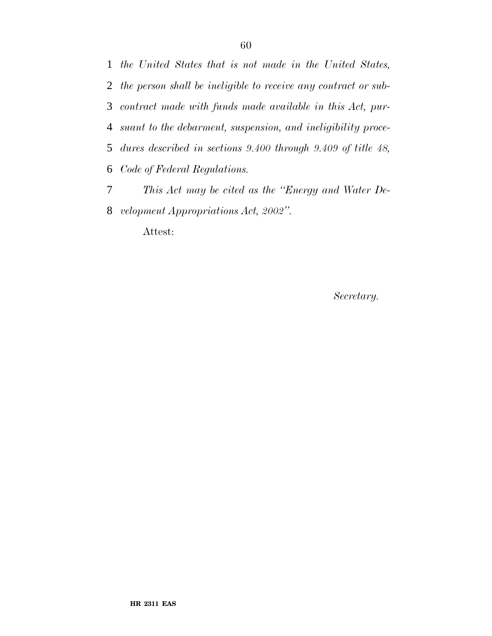*the United States that is not made in the United States, the person shall be ineligible to receive any contract or sub- contract made with funds made available in this Act, pur- suant to the debarment, suspension, and ineligibility proce- dures described in sections 9.400 through 9.409 of title 48, Code of Federal Regulations. This Act may be cited as the ''Energy and Water De-velopment Appropriations Act, 2002''.*

Attest:

*Secretary.*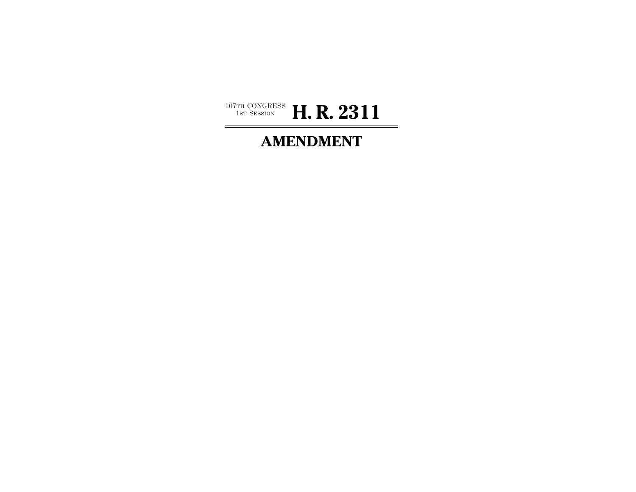

# **AMENDMENT**

 $\overline{\phantom{0}}$